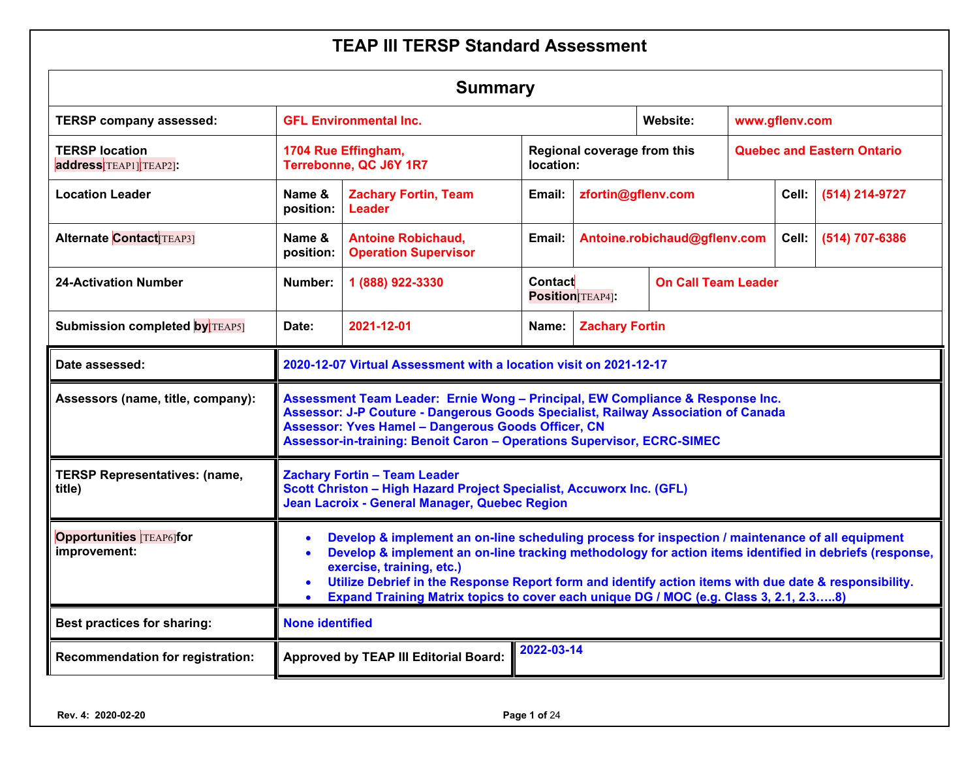| <b>Summary</b>                                 |                                                                                                                                                                                                                                                                                                                                                                                                                                          |                                                                                                                                                                                                                                                                                                           |                  |                              |                            |                                   |                |                |  |  |
|------------------------------------------------|------------------------------------------------------------------------------------------------------------------------------------------------------------------------------------------------------------------------------------------------------------------------------------------------------------------------------------------------------------------------------------------------------------------------------------------|-----------------------------------------------------------------------------------------------------------------------------------------------------------------------------------------------------------------------------------------------------------------------------------------------------------|------------------|------------------------------|----------------------------|-----------------------------------|----------------|----------------|--|--|
| <b>TERSP company assessed:</b>                 | <b>GFL Environmental Inc.</b>                                                                                                                                                                                                                                                                                                                                                                                                            |                                                                                                                                                                                                                                                                                                           | Website:         |                              | www.gflenv.com             |                                   |                |                |  |  |
| <b>TERSP location</b><br>address TEAP1 TEAP2]: |                                                                                                                                                                                                                                                                                                                                                                                                                                          | 1704 Rue Effingham,<br>Terrebonne, QC J6Y 1R7                                                                                                                                                                                                                                                             | location:        | Regional coverage from this  |                            | <b>Quebec and Eastern Ontario</b> |                |                |  |  |
| <b>Location Leader</b>                         | Name &<br>position:                                                                                                                                                                                                                                                                                                                                                                                                                      | <b>Zachary Fortin, Team</b><br>Leader                                                                                                                                                                                                                                                                     | Email:           | zfortin@gflenv.com           |                            |                                   | Cell:          | (514) 214-9727 |  |  |
| <b>Alternate Contact TEAP31</b>                | Name &<br>position:                                                                                                                                                                                                                                                                                                                                                                                                                      | <b>Antoine Robichaud,</b><br><b>Operation Supervisor</b>                                                                                                                                                                                                                                                  |                  | Antoine.robichaud@gflenv.com |                            | Cell:                             | (514) 707-6386 |                |  |  |
| <b>24-Activation Number</b>                    | Number:                                                                                                                                                                                                                                                                                                                                                                                                                                  | 1 (888) 922-3330                                                                                                                                                                                                                                                                                          | Contact          | <b>Position</b> TEAP4]:      | <b>On Call Team Leader</b> |                                   |                |                |  |  |
| <b>Submission completed by TEAP5]</b>          | 2021-12-01<br><b>Zachary Fortin</b><br>Date:<br>Name:                                                                                                                                                                                                                                                                                                                                                                                    |                                                                                                                                                                                                                                                                                                           |                  |                              |                            |                                   |                |                |  |  |
| Date assessed:                                 |                                                                                                                                                                                                                                                                                                                                                                                                                                          | 2020-12-07 Virtual Assessment with a location visit on 2021-12-17                                                                                                                                                                                                                                         |                  |                              |                            |                                   |                |                |  |  |
| Assessors (name, title, company):              |                                                                                                                                                                                                                                                                                                                                                                                                                                          | Assessment Team Leader: Ernie Wong - Principal, EW Compliance & Response Inc.<br>Assessor: J-P Couture - Dangerous Goods Specialist, Railway Association of Canada<br><b>Assessor: Yves Hamel - Dangerous Goods Officer, CN</b><br>Assessor-in-training: Benoit Caron - Operations Supervisor, ECRC-SIMEC |                  |                              |                            |                                   |                |                |  |  |
| <b>TERSP Representatives: (name,</b><br>title) |                                                                                                                                                                                                                                                                                                                                                                                                                                          | <b>Zachary Fortin - Team Leader</b><br>Scott Christon - High Hazard Project Specialist, Accuworx Inc. (GFL)<br>Jean Lacroix - General Manager, Quebec Region                                                                                                                                              |                  |                              |                            |                                   |                |                |  |  |
| <b>Opportunities TEAP61for</b><br>improvement: | Develop & implement an on-line scheduling process for inspection / maintenance of all equipment<br>Develop & implement an on-line tracking methodology for action items identified in debriefs (response,<br>exercise, training, etc.)<br>Utilize Debrief in the Response Report form and identify action items with due date & responsibility.<br>Expand Training Matrix topics to cover each unique DG / MOC (e.g. Class 3, 2.1, 2.38) |                                                                                                                                                                                                                                                                                                           |                  |                              |                            |                                   |                |                |  |  |
| <b>Best practices for sharing:</b>             | <b>None identified</b>                                                                                                                                                                                                                                                                                                                                                                                                                   |                                                                                                                                                                                                                                                                                                           |                  |                              |                            |                                   |                |                |  |  |
| Recommendation for registration:               |                                                                                                                                                                                                                                                                                                                                                                                                                                          | <b>Approved by TEAP III Editorial Board:</b>                                                                                                                                                                                                                                                              | $2022 - 03 - 14$ |                              |                            |                                   |                |                |  |  |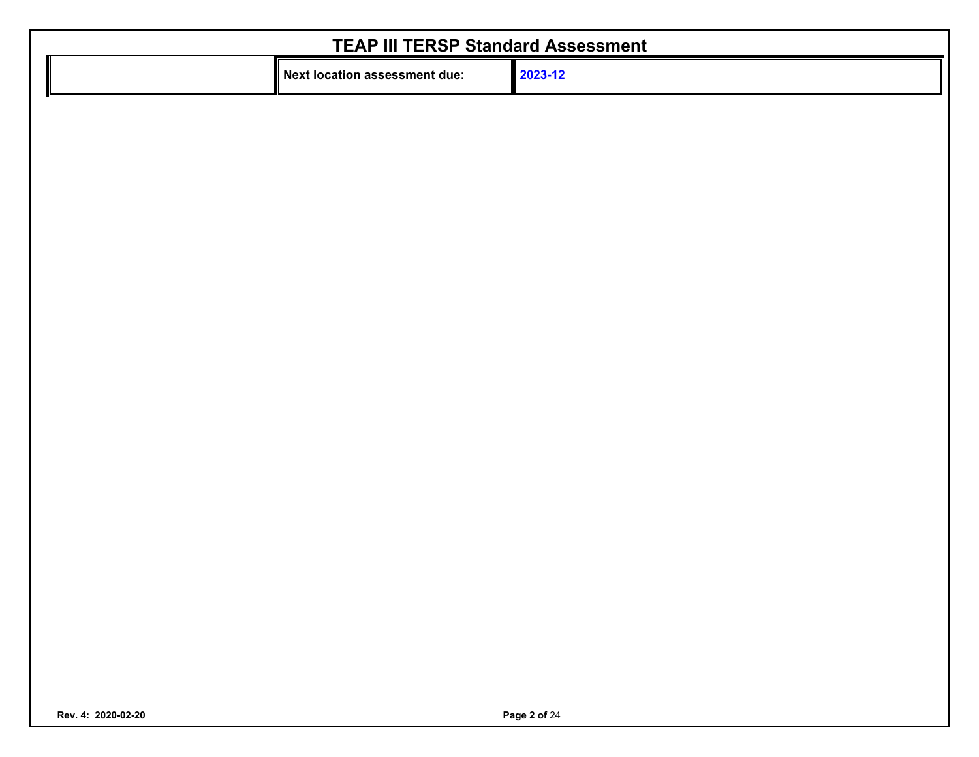| <b>TEAP III TERSP Standard Assessment</b> |         |  |  |  |  |  |  |  |  |  |
|-------------------------------------------|---------|--|--|--|--|--|--|--|--|--|
| Il Next location assessment due:          | 2023-12 |  |  |  |  |  |  |  |  |  |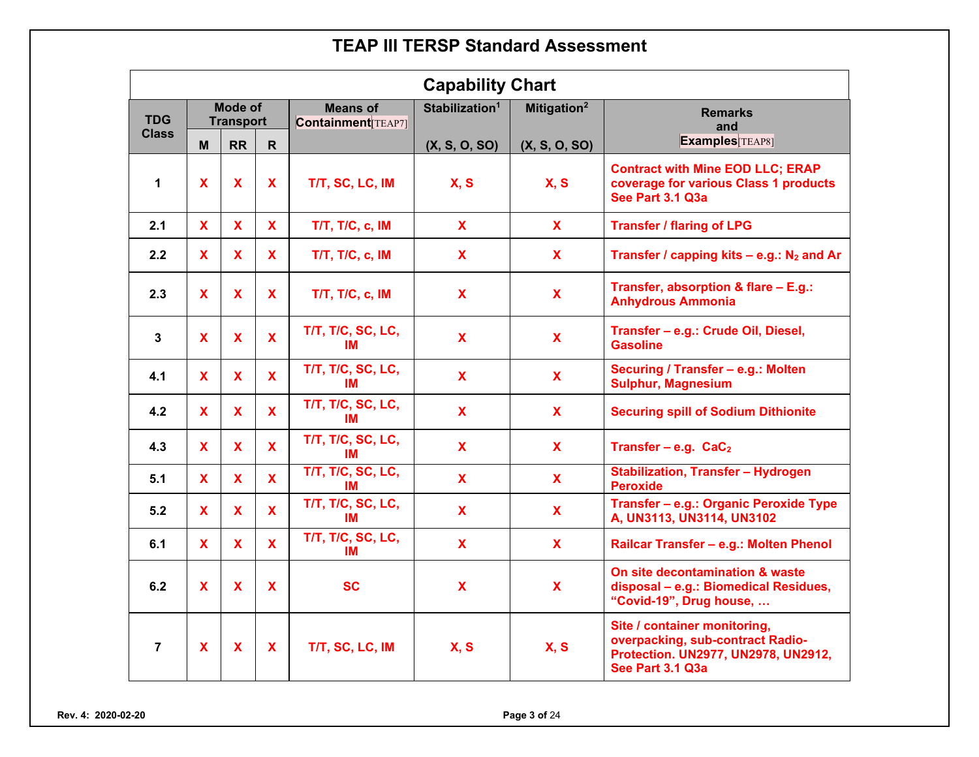|                | <b>Capability Chart</b> |                             |              |                                             |                                                       |               |                                                                                                                             |  |  |  |  |
|----------------|-------------------------|-----------------------------|--------------|---------------------------------------------|-------------------------------------------------------|---------------|-----------------------------------------------------------------------------------------------------------------------------|--|--|--|--|
| <b>TDG</b>     |                         | Mode of<br><b>Transport</b> |              | <b>Means of</b><br><b>Containment</b> TEAP7 | Stabilization <sup>1</sup><br>Mitigation <sup>2</sup> |               | <b>Remarks</b><br>and                                                                                                       |  |  |  |  |
| <b>Class</b>   | М                       | <b>RR</b>                   | $\mathsf{R}$ |                                             | (X, S, O, SO)                                         | (X, S, O, SO) | <b>Examples</b> TEAP8]                                                                                                      |  |  |  |  |
| $\mathbf{1}$   | <b>X</b>                | <b>X</b>                    | <b>X</b>     | T/T, SC, LC, IM                             | X, S                                                  | X, S          | <b>Contract with Mine EOD LLC; ERAP</b><br>coverage for various Class 1 products<br>See Part 3.1 Q3a                        |  |  |  |  |
| 2.1            | $\mathbf{x}$            | $\mathbf{X}$                | $\mathbf{x}$ | <b>T/T, T/C, c, IM</b>                      | $\mathbf{X}$                                          | $\mathbf{x}$  | <b>Transfer / flaring of LPG</b>                                                                                            |  |  |  |  |
| 2.2            | X                       | $\mathbf{X}$                | $\mathbf{x}$ | $T/T$ , $T/C$ , $c$ , $IM$                  | X                                                     | $\mathbf{X}$  | Transfer / capping kits $-$ e.g.: N <sub>2</sub> and Ar                                                                     |  |  |  |  |
| 2.3            | <b>X</b>                | <b>X</b>                    | <b>X</b>     | T/T, T/C, c, IM                             | <b>X</b>                                              | $\mathbf{X}$  | Transfer, absorption & flare - E.g.:<br><b>Anhydrous Ammonia</b>                                                            |  |  |  |  |
| $\mathbf{3}$   | $\mathbf{X}$            | $\mathbf{X}$                | $\mathbf{X}$ | T/T, T/C, SC, LC,<br>IМ                     | $\mathbf{x}$                                          | $\mathbf{x}$  | Transfer - e.g.: Crude Oil, Diesel,<br><b>Gasoline</b>                                                                      |  |  |  |  |
| 4.1            | <b>X</b>                | <b>X</b>                    | $\mathbf{x}$ | T/T, T/C, SC, LC,<br>IM                     | $\mathbf{x}$                                          | $\mathbf{x}$  | Securing / Transfer - e.g.: Molten<br><b>Sulphur, Magnesium</b>                                                             |  |  |  |  |
| 4.2            | <b>X</b>                | $\mathbf{X}$                | $\mathbf{X}$ | T/T, T/C, SC, LC,<br>IM                     | $\mathbf{x}$                                          | $\mathbf{x}$  | <b>Securing spill of Sodium Dithionite</b>                                                                                  |  |  |  |  |
| 4.3            | <b>X</b>                | <b>X</b>                    | $\mathbf{x}$ | T/T, T/C, SC, LC,<br>IМ                     | $\mathbf x$                                           | $\mathbf{x}$  | Transfer – e.g. $CaC2$                                                                                                      |  |  |  |  |
| 5.1            | <b>X</b>                | $\mathbf{X}$                | $\mathbf{X}$ | T/T, T/C, SC, LC,<br>IМ                     | $\mathbf{X}$                                          | $\mathbf{X}$  | <b>Stabilization, Transfer - Hydrogen</b><br><b>Peroxide</b>                                                                |  |  |  |  |
| 5.2            | $\mathbf{X}$            | $\mathbf{x}$                | $\mathbf{X}$ | T/T, T/C, SC, LC,<br>IM                     | $\mathbf x$                                           | $\mathbf{x}$  | Transfer - e.g.: Organic Peroxide Type<br>A, UN3113, UN3114, UN3102                                                         |  |  |  |  |
| 6.1            | $\mathbf{X}$            | $\mathbf{X}$                | $\mathbf{X}$ | T/T, T/C, SC, LC,<br>IM                     | $\mathbf{x}$                                          | $\mathbf{x}$  | Railcar Transfer - e.g.: Molten Phenol                                                                                      |  |  |  |  |
| 6.2            | $\mathbf{x}$            | $\mathbf{x}$                | $\mathbf{x}$ | <b>SC</b>                                   | $\mathbf x$                                           | $\mathbf{x}$  | On site decontamination & waste<br>disposal - e.g.: Biomedical Residues,<br>"Covid-19", Drug house,                         |  |  |  |  |
| $\overline{7}$ | X                       | $\mathbf x$                 | X            | T/T, SC, LC, IM                             | <b>X, S</b>                                           | X, S          | Site / container monitoring,<br>overpacking, sub-contract Radio-<br>Protection. UN2977, UN2978, UN2912,<br>See Part 3.1 Q3a |  |  |  |  |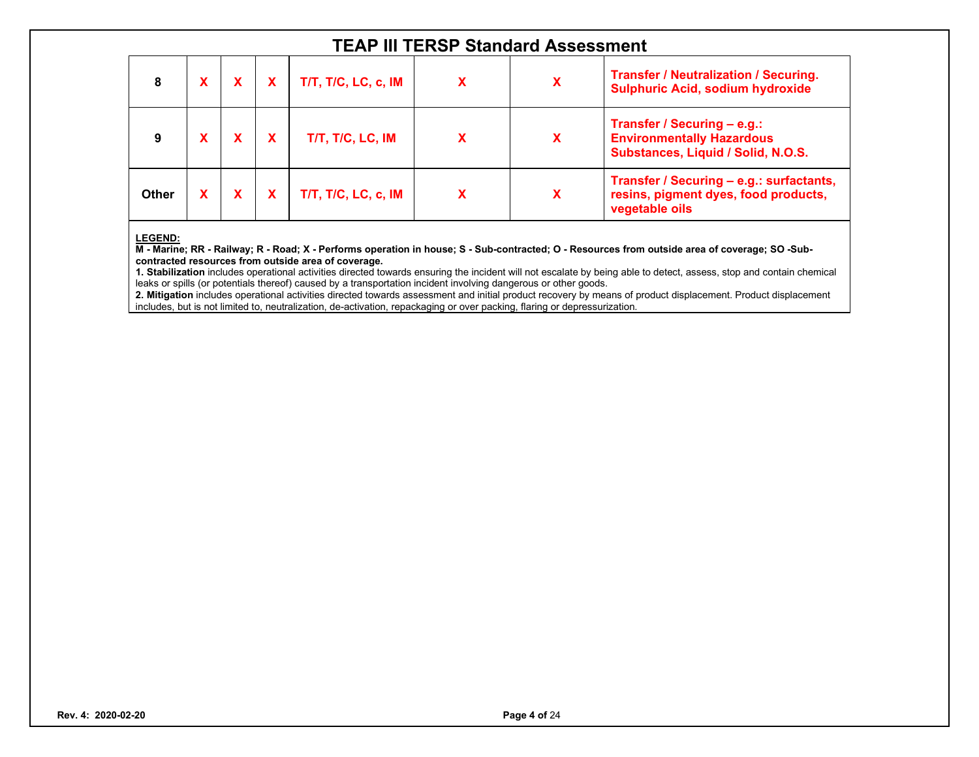| 8     |  | T/T, T/C, LC, c, IM |   | X | <b>Transfer / Neutralization / Securing.</b><br><b>Sulphuric Acid, sodium hydroxide</b>               |
|-------|--|---------------------|---|---|-------------------------------------------------------------------------------------------------------|
|       |  | T/T, T/C, LC, IM    | X | х | Transfer / Securing - e.g.:<br><b>Environmentally Hazardous</b><br>Substances, Liquid / Solid, N.O.S. |
| Other |  | T/T, T/C, LC, c, IM |   | Х | Transfer / Securing - e.g.: surfactants,<br>resins, pigment dyes, food products,<br>vegetable oils    |

#### **LEGEND:**

**M - Marine; RR - Railway; R - Road; X - Performs operation in house; S - Sub-contracted; O - Resources from outside area of coverage; SO -Subcontracted resources from outside area of coverage.** 

**1. Stabilization** includes operational activities directed towards ensuring the incident will not escalate by being able to detect, assess, stop and contain chemical leaks or spills (or potentials thereof) caused by a transportation incident involving dangerous or other goods.

**2. Mitigation** includes operational activities directed towards assessment and initial product recovery by means of product displacement. Product displacement includes, but is not limited to, neutralization, de-activation, repackaging or over packing, flaring or depressurization.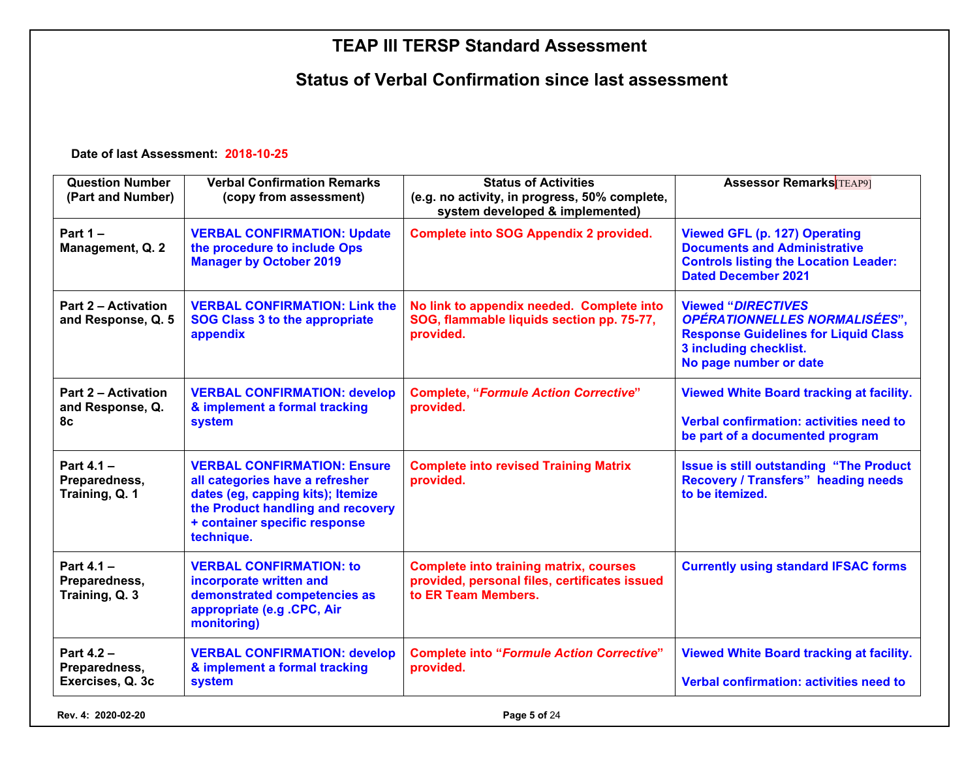#### **Status of Verbal Confirmation since last assessment**

**Date of last Assessment: 2018-10-25**

| <b>Question Number</b><br>(Part and Number)          | <b>Verbal Confirmation Remarks</b><br>(copy from assessment)                                                                                                                                   | <b>Status of Activities</b><br>(e.g. no activity, in progress, 50% complete,<br>system developed & implemented)       | <b>Assessor Remarks</b> TEAP91                                                                                                                                              |  |  |
|------------------------------------------------------|------------------------------------------------------------------------------------------------------------------------------------------------------------------------------------------------|-----------------------------------------------------------------------------------------------------------------------|-----------------------------------------------------------------------------------------------------------------------------------------------------------------------------|--|--|
| Part $1 -$<br>Management, Q. 2                       | <b>VERBAL CONFIRMATION: Update</b><br>the procedure to include Ops<br><b>Manager by October 2019</b>                                                                                           | <b>Complete into SOG Appendix 2 provided.</b>                                                                         | <b>Viewed GFL (p. 127) Operating</b><br><b>Documents and Administrative</b><br><b>Controls listing the Location Leader:</b><br><b>Dated December 2021</b>                   |  |  |
| <b>Part 2 – Activation</b><br>and Response, Q. 5     | <b>VERBAL CONFIRMATION: Link the</b><br><b>SOG Class 3 to the appropriate</b><br>appendix                                                                                                      | No link to appendix needed. Complete into<br>SOG, flammable liquids section pp. 75-77,<br>provided.                   | <b>Viewed "DIRECTIVES</b><br><b>OPÉRATIONNELLES NORMALISÉES",</b><br><b>Response Guidelines for Liquid Class</b><br><b>3 including checklist.</b><br>No page number or date |  |  |
| <b>Part 2 – Activation</b><br>and Response, Q.<br>8c | <b>VERBAL CONFIRMATION: develop</b><br>& implement a formal tracking<br>system                                                                                                                 | <b>Complete, "Formule Action Corrective"</b><br>provided.                                                             | <b>Viewed White Board tracking at facility.</b><br><b>Verbal confirmation: activities need to</b><br>be part of a documented program                                        |  |  |
| Part $4.1 -$<br>Preparedness,<br>Training, Q. 1      | <b>VERBAL CONFIRMATION: Ensure</b><br>all categories have a refresher<br>dates (eg, capping kits); Itemize<br>the Product handling and recovery<br>+ container specific response<br>technique. | <b>Complete into revised Training Matrix</b><br>provided.                                                             | <b>Issue is still outstanding "The Product</b><br><b>Recovery / Transfers" heading needs</b><br>to be itemized.                                                             |  |  |
| Part $4.1 -$<br>Preparedness,<br>Training, Q. 3      | <b>VERBAL CONFIRMATION: to</b><br>incorporate written and<br>demonstrated competencies as<br>appropriate (e.g. CPC, Air<br>monitoring)                                                         | <b>Complete into training matrix, courses</b><br>provided, personal files, certificates issued<br>to ER Team Members. | <b>Currently using standard IFSAC forms</b>                                                                                                                                 |  |  |
| Part 4.2 -<br>Preparedness,<br>Exercises, Q. 3c      | <b>VERBAL CONFIRMATION: develop</b><br>& implement a formal tracking<br>system                                                                                                                 | <b>Complete into "Formule Action Corrective"</b><br>provided.                                                         | <b>Viewed White Board tracking at facility.</b><br>Verbal confirmation: activities need to                                                                                  |  |  |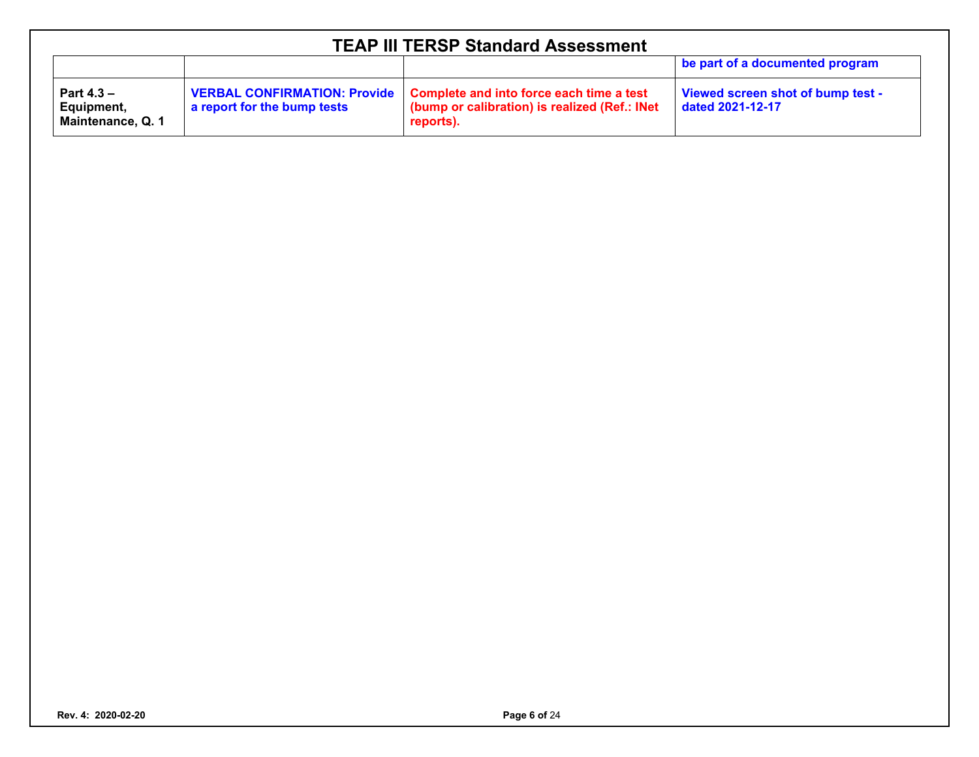| <b>TEAP III TERSP Standard Assessment</b>       |                             |                                                                                                                                        |                                                       |  |  |  |  |  |  |
|-------------------------------------------------|-----------------------------|----------------------------------------------------------------------------------------------------------------------------------------|-------------------------------------------------------|--|--|--|--|--|--|
|                                                 |                             |                                                                                                                                        | be part of a documented program                       |  |  |  |  |  |  |
| Part $4.3 -$<br>Equipment,<br>Maintenance, Q. 1 | a report for the bump tests | VERBAL CONFIRMATION: Provide   Complete and into force each time a test<br>(bump or calibration) is realized (Ref.: INet)<br>reports). | Viewed screen shot of bump test -<br>dated 2021-12-17 |  |  |  |  |  |  |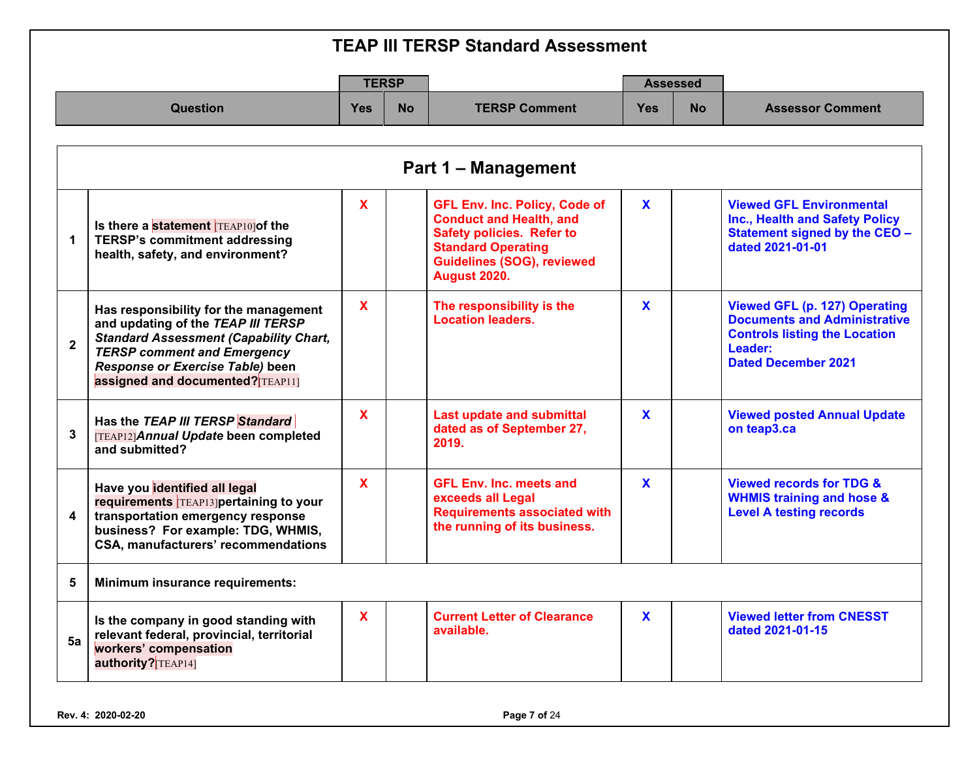|              | <b>TEAP III TERSP Standard Assessment</b>                                                                                                                                                                                                   |                           |           |                                                                                                                                                                                                     |              |                 |                                                                                                                                                              |  |  |
|--------------|---------------------------------------------------------------------------------------------------------------------------------------------------------------------------------------------------------------------------------------------|---------------------------|-----------|-----------------------------------------------------------------------------------------------------------------------------------------------------------------------------------------------------|--------------|-----------------|--------------------------------------------------------------------------------------------------------------------------------------------------------------|--|--|
|              |                                                                                                                                                                                                                                             | <b>TERSP</b>              |           |                                                                                                                                                                                                     |              | <b>Assessed</b> |                                                                                                                                                              |  |  |
|              | <b>Question</b>                                                                                                                                                                                                                             | <b>Yes</b>                | <b>No</b> | <b>TERSP Comment</b>                                                                                                                                                                                | <b>Yes</b>   | <b>No</b>       | <b>Assessor Comment</b>                                                                                                                                      |  |  |
|              | <b>Part 1 - Management</b>                                                                                                                                                                                                                  |                           |           |                                                                                                                                                                                                     |              |                 |                                                                                                                                                              |  |  |
| 1            | Is there a statement TEAP10] of the<br><b>TERSP's commitment addressing</b><br>health, safety, and environment?                                                                                                                             | $\mathbf{x}$              |           | <b>GFL Env. Inc. Policy, Code of</b><br><b>Conduct and Health, and</b><br><b>Safety policies. Refer to</b><br><b>Standard Operating</b><br><b>Guidelines (SOG), reviewed</b><br><b>August 2020.</b> | $\mathbf{x}$ |                 | <b>Viewed GFL Environmental</b><br>Inc., Health and Safety Policy<br>Statement signed by the CEO -<br>dated 2021-01-01                                       |  |  |
| $\mathbf{2}$ | Has responsibility for the management<br>and updating of the TEAP III TERSP<br><b>Standard Assessment (Capability Chart,</b><br><b>TERSP comment and Emergency</b><br>Response or Exercise Table) been<br>assigned and documented? [TEAP11] | $\boldsymbol{\mathsf{X}}$ |           | The responsibility is the<br><b>Location leaders.</b>                                                                                                                                               | X            |                 | <b>Viewed GFL (p. 127) Operating</b><br><b>Documents and Administrative</b><br><b>Controls listing the Location</b><br>Leader:<br><b>Dated December 2021</b> |  |  |
| 3            | Has the TEAP III TERSP Standard<br>[TEAP12] Annual Update been completed<br>and submitted?                                                                                                                                                  | $\mathbf x$               |           | <b>Last update and submittal</b><br>dated as of September 27,<br>2019.                                                                                                                              | X            |                 | <b>Viewed posted Annual Update</b><br>on teap3.ca                                                                                                            |  |  |
| 4            | Have you identified all legal<br>requirements TEAP13]pertaining to your<br>transportation emergency response<br>business? For example: TDG, WHMIS,<br>CSA, manufacturers' recommendations                                                   | X                         |           | <b>GFL Env. Inc. meets and</b><br>exceeds all Legal<br><b>Requirements associated with</b><br>the running of its business.                                                                          | X            |                 | <b>Viewed records for TDG &amp;</b><br><b>WHMIS training and hose &amp;</b><br><b>Level A testing records</b>                                                |  |  |
| 5            | Minimum insurance requirements:                                                                                                                                                                                                             |                           |           |                                                                                                                                                                                                     |              |                 |                                                                                                                                                              |  |  |
| 5a           | Is the company in good standing with<br>relevant federal, provincial, territorial<br>workers' compensation<br>authority? TEAP14]                                                                                                            | $\boldsymbol{\mathsf{X}}$ |           | <b>Current Letter of Clearance</b><br>available.                                                                                                                                                    | $\mathbf{x}$ |                 | <b>Viewed letter from CNESST</b><br>dated 2021-01-15                                                                                                         |  |  |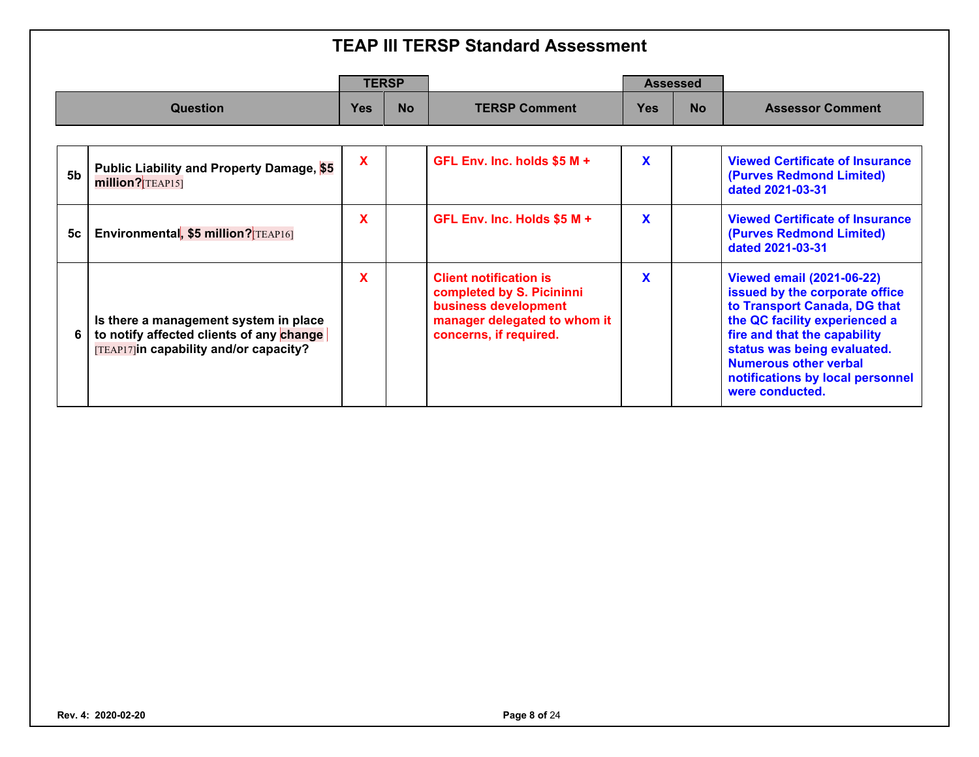|                |                                                                                                                             | <b>TERSP</b> |           |                                                                                                                                              |            | <b>Assessed</b> |                                                                                                                                                                                                                                                                                           |
|----------------|-----------------------------------------------------------------------------------------------------------------------------|--------------|-----------|----------------------------------------------------------------------------------------------------------------------------------------------|------------|-----------------|-------------------------------------------------------------------------------------------------------------------------------------------------------------------------------------------------------------------------------------------------------------------------------------------|
|                | <b>Question</b>                                                                                                             | Yes          | <b>No</b> | <b>TERSP Comment</b>                                                                                                                         | <b>Yes</b> | <b>No</b>       | <b>Assessor Comment</b>                                                                                                                                                                                                                                                                   |
|                |                                                                                                                             |              |           |                                                                                                                                              |            |                 |                                                                                                                                                                                                                                                                                           |
| 5 <sub>b</sub> | Public Liability and Property Damage, \$5<br>million? TEAP15]                                                               | X            |           | GFL Env. Inc. holds $$5 M +$                                                                                                                 | X          |                 | <b>Viewed Certificate of Insurance</b><br>(Purves Redmond Limited)<br>dated 2021-03-31                                                                                                                                                                                                    |
| 5c             | Environmental, \$5 million? TEAP16                                                                                          | X            |           | GFL Env. Inc. Holds $$5 M +$                                                                                                                 | X          |                 | <b>Viewed Certificate of Insurance</b><br>(Purves Redmond Limited)<br>dated 2021-03-31                                                                                                                                                                                                    |
| 6              | Is there a management system in place<br>to notify affected clients of any change<br>[TEAP17]in capability and/or capacity? | X            |           | <b>Client notification is</b><br>completed by S. Picininni<br>business development<br>manager delegated to whom it<br>concerns, if required. | X          |                 | <b>Viewed email (2021-06-22)</b><br>issued by the corporate office<br>to Transport Canada, DG that<br>the QC facility experienced a<br>fire and that the capability<br>status was being evaluated.<br><b>Numerous other verbal</b><br>notifications by local personnel<br>were conducted. |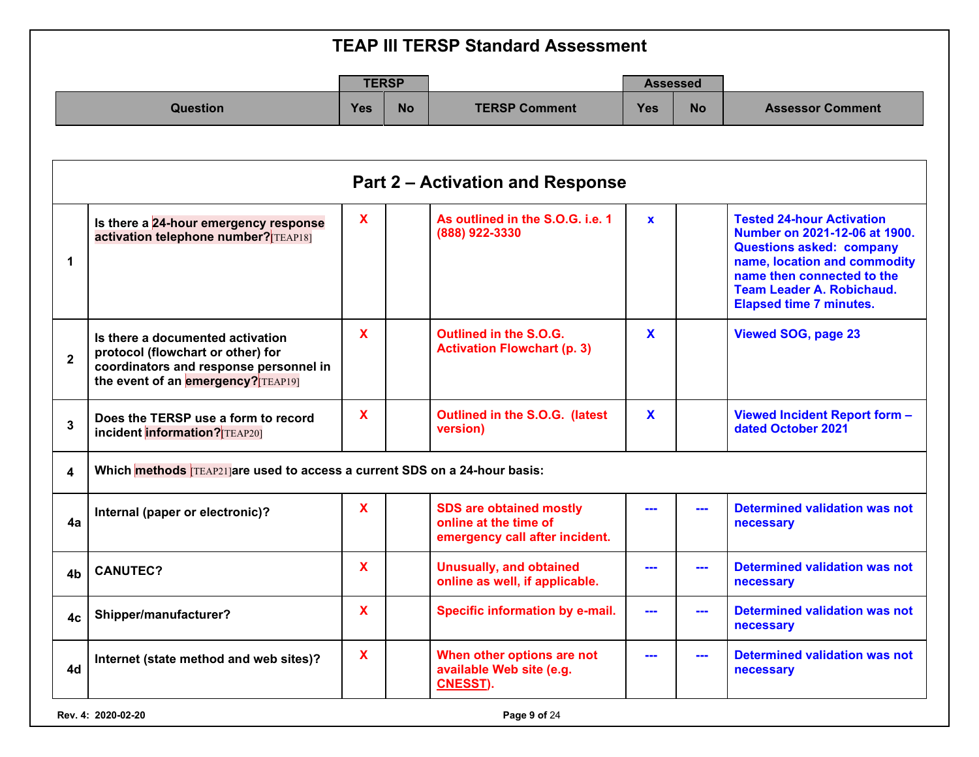|                |                                                                                                                                                       |                           |           | <b>TEAP III TERSP Standard Assessment</b>                                                 |              |                                                                                                                                                                                                                                                                                                                                                                                              |                                                                                                                                                                                                                                          |
|----------------|-------------------------------------------------------------------------------------------------------------------------------------------------------|---------------------------|-----------|-------------------------------------------------------------------------------------------|--------------|----------------------------------------------------------------------------------------------------------------------------------------------------------------------------------------------------------------------------------------------------------------------------------------------------------------------------------------------------------------------------------------------|------------------------------------------------------------------------------------------------------------------------------------------------------------------------------------------------------------------------------------------|
|                |                                                                                                                                                       | <b>TERSP</b>              |           |                                                                                           |              | <b>Assessed</b>                                                                                                                                                                                                                                                                                                                                                                              |                                                                                                                                                                                                                                          |
|                | <b>Question</b>                                                                                                                                       | <b>Yes</b>                | <b>No</b> | <b>TERSP Comment</b>                                                                      | <b>Yes</b>   | <b>No</b>                                                                                                                                                                                                                                                                                                                                                                                    | <b>Assessor Comment</b>                                                                                                                                                                                                                  |
|                |                                                                                                                                                       |                           |           | <b>Part 2 – Activation and Response</b>                                                   |              |                                                                                                                                                                                                                                                                                                                                                                                              |                                                                                                                                                                                                                                          |
| 1              | Is there a 24-hour emergency response<br>activation telephone number? TEAP18]                                                                         | $\mathbf x$               |           | As outlined in the S.O.G. i.e. 1<br>(888) 922-3330                                        | $\mathbf{x}$ |                                                                                                                                                                                                                                                                                                                                                                                              | <b>Tested 24-hour Activation</b><br>Number on 2021-12-06 at 1900.<br><b>Questions asked: company</b><br>name, location and commodity<br>name then connected to the<br><b>Team Leader A. Robichaud.</b><br><b>Elapsed time 7 minutes.</b> |
| $\mathbf{2}$   | Is there a documented activation<br>protocol (flowchart or other) for<br>coordinators and response personnel in<br>the event of an emergency? TEAP19] | $\mathbf x$               |           | Outlined in the S.O.G.<br><b>Activation Flowchart (p. 3)</b>                              | $\mathbf x$  |                                                                                                                                                                                                                                                                                                                                                                                              | <b>Viewed SOG, page 23</b>                                                                                                                                                                                                               |
| 3              | Does the TERSP use a form to record<br>incident information? TEAP201                                                                                  | $\mathbf x$               |           | Outlined in the S.O.G. (latest<br>version)                                                | $\mathbf{x}$ |                                                                                                                                                                                                                                                                                                                                                                                              | Viewed Incident Report form -<br>dated October 2021                                                                                                                                                                                      |
| 4              | Which methods TEAP21 are used to access a current SDS on a 24-hour basis:                                                                             |                           |           |                                                                                           |              |                                                                                                                                                                                                                                                                                                                                                                                              |                                                                                                                                                                                                                                          |
| 4a             | Internal (paper or electronic)?                                                                                                                       | X                         |           | <b>SDS are obtained mostly</b><br>online at the time of<br>emergency call after incident. |              | ---                                                                                                                                                                                                                                                                                                                                                                                          | <b>Determined validation was not</b><br>necessary                                                                                                                                                                                        |
| 4 <sub>b</sub> | <b>CANUTEC?</b>                                                                                                                                       | X                         |           | <b>Unusually, and obtained</b><br>online as well, if applicable.                          |              | ---                                                                                                                                                                                                                                                                                                                                                                                          | <b>Determined validation was not</b><br>necessary                                                                                                                                                                                        |
| 4c             | Shipper/manufacturer?                                                                                                                                 | X                         |           | Specific information by e-mail.                                                           | ---          | ---                                                                                                                                                                                                                                                                                                                                                                                          | <b>Determined validation was not</b><br>necessary                                                                                                                                                                                        |
| 4d             | Internet (state method and web sites)?                                                                                                                | $\boldsymbol{\mathsf{X}}$ |           | When other options are not<br>available Web site (e.g.<br>CNESST).                        |              | $\frac{1}{2} \frac{1}{2} \frac{1}{2} \frac{1}{2} \frac{1}{2} \frac{1}{2} \frac{1}{2} \frac{1}{2} \frac{1}{2} \frac{1}{2} \frac{1}{2} \frac{1}{2} \frac{1}{2} \frac{1}{2} \frac{1}{2} \frac{1}{2} \frac{1}{2} \frac{1}{2} \frac{1}{2} \frac{1}{2} \frac{1}{2} \frac{1}{2} \frac{1}{2} \frac{1}{2} \frac{1}{2} \frac{1}{2} \frac{1}{2} \frac{1}{2} \frac{1}{2} \frac{1}{2} \frac{1}{2} \frac{$ | <b>Determined validation was not</b><br>necessary                                                                                                                                                                                        |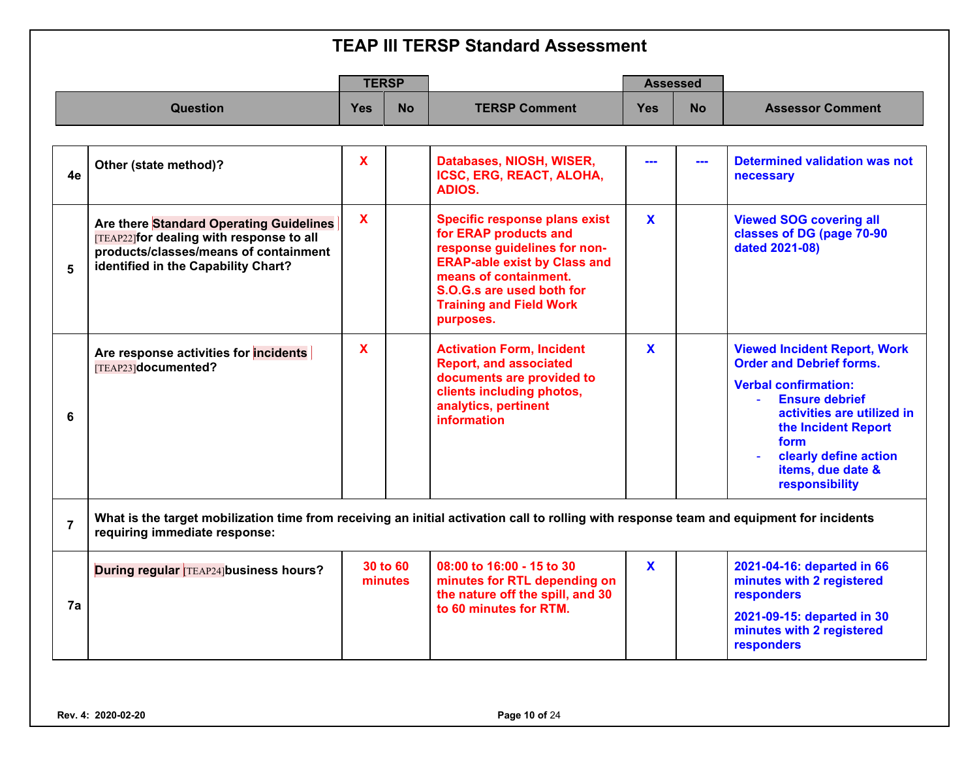|                |                                                                                                                                                                           | <b>TERSP</b> |                     |                                                                                                                                                                                                                                           | <b>Assessed</b> |           |                                                                                                                                                                                                                                                                                   |  |
|----------------|---------------------------------------------------------------------------------------------------------------------------------------------------------------------------|--------------|---------------------|-------------------------------------------------------------------------------------------------------------------------------------------------------------------------------------------------------------------------------------------|-----------------|-----------|-----------------------------------------------------------------------------------------------------------------------------------------------------------------------------------------------------------------------------------------------------------------------------------|--|
|                | <b>Question</b>                                                                                                                                                           | <b>Yes</b>   | <b>No</b>           | <b>TERSP Comment</b>                                                                                                                                                                                                                      | <b>Yes</b>      | <b>No</b> | <b>Assessor Comment</b>                                                                                                                                                                                                                                                           |  |
|                |                                                                                                                                                                           |              |                     |                                                                                                                                                                                                                                           |                 |           |                                                                                                                                                                                                                                                                                   |  |
| 4e             | Other (state method)?                                                                                                                                                     | $\mathbf{x}$ |                     | Databases, NIOSH, WISER,<br><b>ICSC, ERG, REACT, ALOHA,</b><br>ADIOS.                                                                                                                                                                     |                 | ---       | <b>Determined validation was not</b><br>necessary                                                                                                                                                                                                                                 |  |
| 5              | Are there Standard Operating Guidelines<br>[TEAP22] for dealing with response to all<br>products/classes/means of containment<br>identified in the Capability Chart?      | $\mathbf x$  |                     | <b>Specific response plans exist</b><br>for ERAP products and<br>response guidelines for non-<br><b>ERAP-able exist by Class and</b><br>means of containment.<br>S.O.G.s are used both for<br><b>Training and Field Work</b><br>purposes. | $\mathbf{x}$    |           | <b>Viewed SOG covering all</b><br>classes of DG (page 70-90<br>dated 2021-08)                                                                                                                                                                                                     |  |
| 6              | Are response activities for incidents<br>[TEAP23]documented?                                                                                                              | $\mathbf{x}$ |                     | <b>Activation Form, Incident</b><br><b>Report, and associated</b><br>documents are provided to<br>clients including photos,<br>analytics, pertinent<br>information                                                                        | $\mathbf{x}$    |           | <b>Viewed Incident Report, Work</b><br><b>Order and Debrief forms.</b><br><b>Verbal confirmation:</b><br><b>Ensure debrief</b><br>$\Delta \sim 10^4$<br>activities are utilized in<br>the Incident Report<br>form<br>clearly define action<br>items, due date &<br>responsibility |  |
| $\overline{7}$ | What is the target mobilization time from receiving an initial activation call to rolling with response team and equipment for incidents<br>requiring immediate response: |              |                     |                                                                                                                                                                                                                                           |                 |           |                                                                                                                                                                                                                                                                                   |  |
| 7a             | <b>During regular TEAP24 business hours?</b>                                                                                                                              |              | 30 to 60<br>minutes | 08:00 to 16:00 - 15 to 30<br>minutes for RTL depending on<br>the nature off the spill, and 30<br>to 60 minutes for RTM.                                                                                                                   | $\mathbf{x}$    |           | 2021-04-16: departed in 66<br>minutes with 2 registered<br><b>responders</b><br>2021-09-15: departed in 30<br>minutes with 2 registered<br>responders                                                                                                                             |  |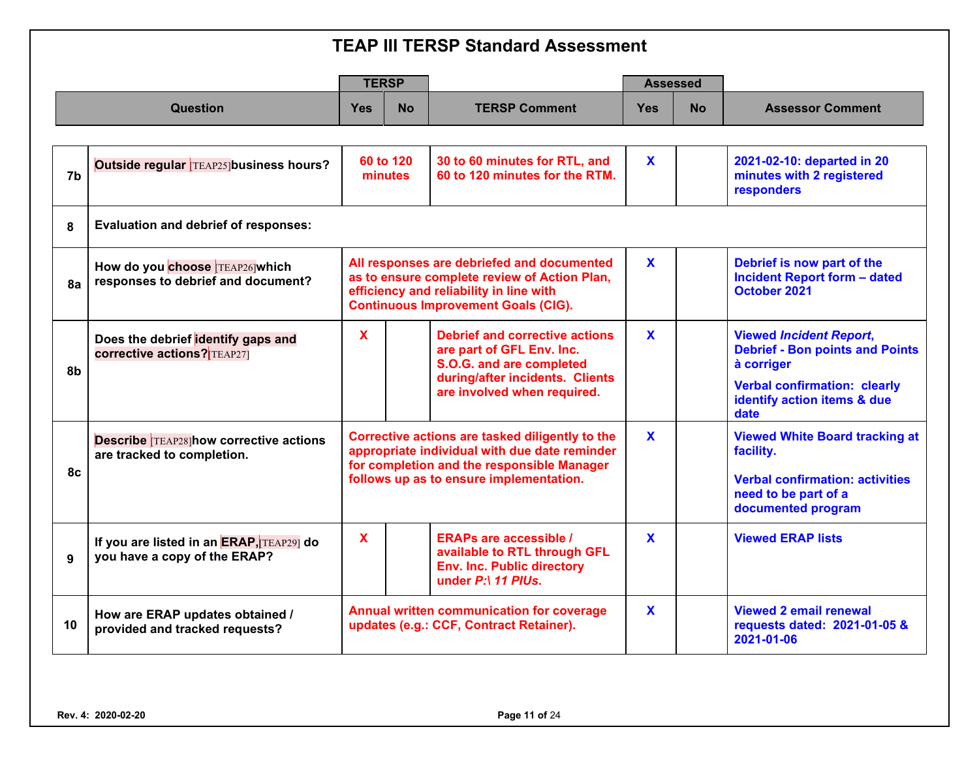|              |                                                                             |              | <b>TERSP</b>         |                                                                                                                                                                                           |              | <b>Assessed</b> |                                                                                                                                                                      |  |  |  |  |
|--------------|-----------------------------------------------------------------------------|--------------|----------------------|-------------------------------------------------------------------------------------------------------------------------------------------------------------------------------------------|--------------|-----------------|----------------------------------------------------------------------------------------------------------------------------------------------------------------------|--|--|--|--|
|              | <b>Question</b>                                                             | <b>Yes</b>   | <b>No</b>            | <b>TERSP Comment</b>                                                                                                                                                                      | <b>Yes</b>   | No.             | <b>Assessor Comment</b>                                                                                                                                              |  |  |  |  |
|              |                                                                             |              |                      |                                                                                                                                                                                           |              |                 |                                                                                                                                                                      |  |  |  |  |
| 7b           | Outside regular TEAP25 business hours?                                      |              | 60 to 120<br>minutes | 30 to 60 minutes for RTL, and<br>60 to 120 minutes for the RTM.                                                                                                                           | $\mathbf{x}$ |                 | 2021-02-10: departed in 20<br>minutes with 2 registered<br>responders                                                                                                |  |  |  |  |
| 8            | <b>Evaluation and debrief of responses:</b>                                 |              |                      |                                                                                                                                                                                           |              |                 |                                                                                                                                                                      |  |  |  |  |
| 8a           | How do you choose TEAP26 which<br>responses to debrief and document?        |              |                      | All responses are debriefed and documented<br>as to ensure complete review of Action Plan,<br>efficiency and reliability in line with<br><b>Continuous Improvement Goals (CIG).</b>       | $\mathbf{X}$ |                 | Debrief is now part of the<br><b>Incident Report form - dated</b><br>October 2021                                                                                    |  |  |  |  |
| 8b           | Does the debrief identify gaps and<br><b>corrective actions? TEAP271</b>    | $\mathbf{x}$ |                      | <b>Debrief and corrective actions</b><br>are part of GFL Env. Inc.<br>S.O.G. and are completed<br>during/after incidents. Clients<br>are involved when required.                          | $\mathbf{x}$ |                 | <b>Viewed Incident Report,</b><br><b>Debrief - Bon points and Points</b><br>à corriger<br><b>Verbal confirmation: clearly</b><br>identify action items & due<br>date |  |  |  |  |
| 8с           | <b>Describe TEAP28 how corrective actions</b><br>are tracked to completion. |              |                      | Corrective actions are tasked diligently to the<br>appropriate individual with due date reminder<br>for completion and the responsible Manager<br>follows up as to ensure implementation. | X            |                 | <b>Viewed White Board tracking at</b><br>facility.<br><b>Verbal confirmation: activities</b><br>need to be part of a<br>documented program                           |  |  |  |  |
| $\mathbf{q}$ | If you are listed in an ERAP, TEAP29] do<br>you have a copy of the ERAP?    | $\mathbf{x}$ |                      | <b>ERAPs are accessible /</b><br>available to RTL through GFL<br><b>Env. Inc. Public directory</b><br>under P:\ 11 PIUs.                                                                  | $\mathbf x$  |                 | <b>Viewed ERAP lists</b>                                                                                                                                             |  |  |  |  |
| 10           | How are ERAP updates obtained /<br>provided and tracked requests?           |              |                      | <b>Annual written communication for coverage</b><br>updates (e.g.: CCF, Contract Retainer).                                                                                               | X            |                 | <b>Viewed 2 email renewal</b><br>requests dated: 2021-01-05 &<br>2021-01-06                                                                                          |  |  |  |  |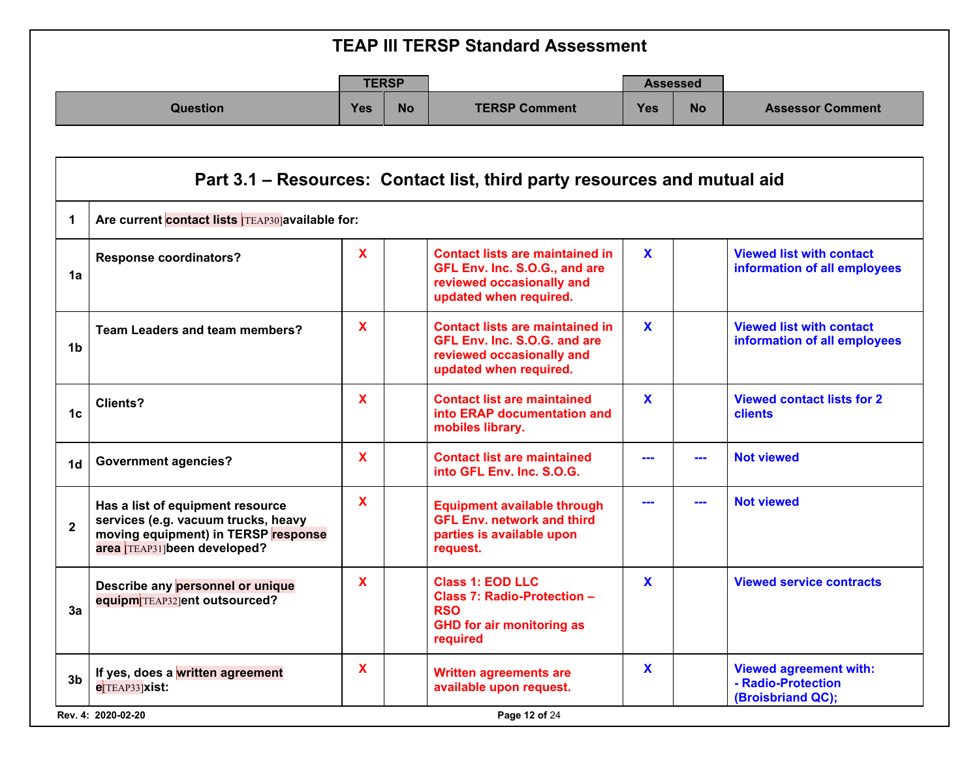|                 |            | <b>TERSP</b> |                      |     | <b>Assessed</b> |                         |
|-----------------|------------|--------------|----------------------|-----|-----------------|-------------------------|
| <b>Question</b> | <b>Yes</b> | <b>No</b>    | <b>TERSP Comment</b> | Yes | <b>No</b>       | <b>Assessor Comment</b> |

| 1              | Are current contact lists TEAP30]available for:                                                                                               |              |                                                                                                                                |             |     |                                                                          |
|----------------|-----------------------------------------------------------------------------------------------------------------------------------------------|--------------|--------------------------------------------------------------------------------------------------------------------------------|-------------|-----|--------------------------------------------------------------------------|
| 1a             | <b>Response coordinators?</b>                                                                                                                 | $\mathbf{x}$ | <b>Contact lists are maintained in</b><br>GFL Env. Inc. S.O.G., and are<br>reviewed occasionally and<br>updated when required. | $\mathbf x$ |     | <b>Viewed list with contact</b><br>information of all employees          |
| 1 <sub>b</sub> | <b>Team Leaders and team members?</b>                                                                                                         | X            | <b>Contact lists are maintained in</b><br>GFL Env. Inc. S.O.G. and are<br>reviewed occasionally and<br>updated when required.  | $\mathbf x$ |     | <b>Viewed list with contact</b><br>information of all employees          |
| 1c             | Clients?                                                                                                                                      | $\mathbf{x}$ | <b>Contact list are maintained</b><br>into ERAP documentation and<br>mobiles library.                                          | $\mathbf x$ |     | <b>Viewed contact lists for 2</b><br>clients                             |
| 1 <sub>d</sub> | <b>Government agencies?</b>                                                                                                                   | X            | <b>Contact list are maintained</b><br>into GFL Env. Inc. S.O.G.                                                                |             | --- | <b>Not viewed</b>                                                        |
| $\overline{2}$ | Has a list of equipment resource<br>services (e.g. vacuum trucks, heavy<br>moving equipment) in TERSP response<br>area TEAP31]been developed? | X            | <b>Equipment available through</b><br><b>GFL Env. network and third</b><br>parties is available upon<br>request.               |             | --- | <b>Not viewed</b>                                                        |
| 3a             | Describe any personnel or unique<br>equipm TEAP32 ent outsourced?                                                                             | X            | <b>Class 1: EOD LLC</b><br>Class 7: Radio-Protection -<br><b>RSO</b><br><b>GHD for air monitoring as</b><br>required           | $\mathbf x$ |     | <b>Viewed service contracts</b>                                          |
| 3 <sub>b</sub> | If yes, does a written agreement<br>e <sup>TEAP33</sup>  Xist:                                                                                | X            | <b>Written agreements are</b><br>available upon request.                                                                       | X           |     | <b>Viewed agreement with:</b><br>- Radio-Protection<br>(Broisbriand QC); |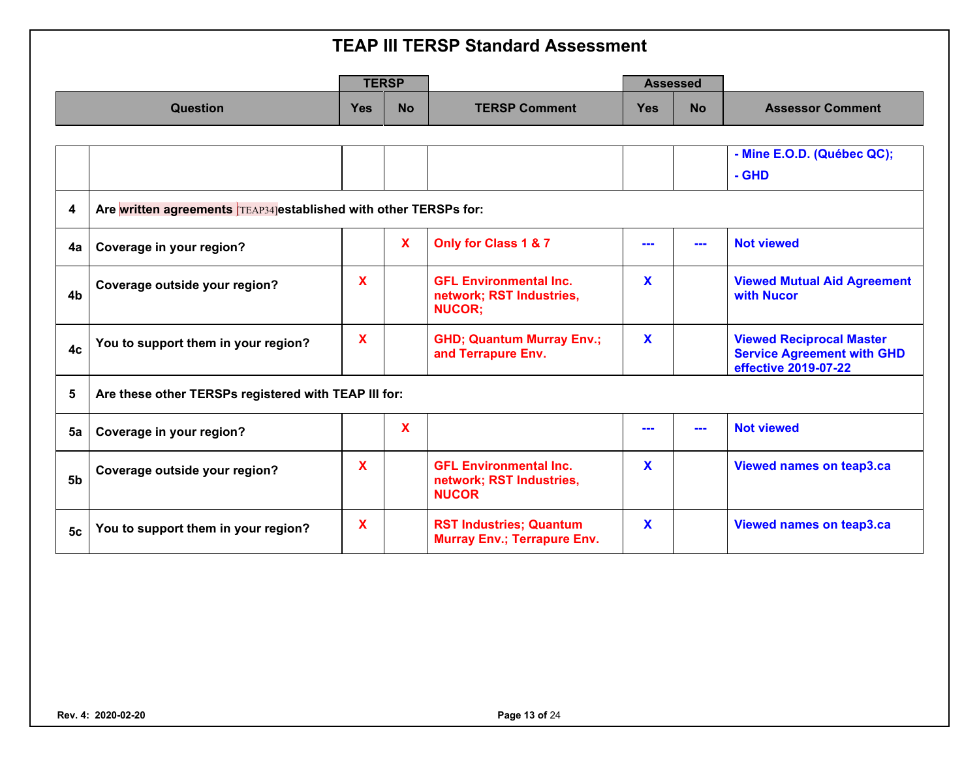|                  |                                                                  | <b>TERSP</b> |              |                                                                            | <b>Assessed</b> |           |                                                                                              |
|------------------|------------------------------------------------------------------|--------------|--------------|----------------------------------------------------------------------------|-----------------|-----------|----------------------------------------------------------------------------------------------|
|                  | Question                                                         | <b>Yes</b>   | <b>No</b>    | <b>TERSP Comment</b>                                                       | <b>Yes</b>      | <b>No</b> | <b>Assessor Comment</b>                                                                      |
|                  |                                                                  |              |              |                                                                            |                 |           |                                                                                              |
|                  |                                                                  |              |              |                                                                            |                 |           | - Mine E.O.D. (Québec QC);                                                                   |
|                  |                                                                  |              |              |                                                                            |                 |           | - GHD                                                                                        |
| $\boldsymbol{4}$ | Are written agreements TEAP34 established with other TERSPs for: |              |              |                                                                            |                 |           |                                                                                              |
| 4a               | Coverage in your region?                                         |              | $\mathbf{x}$ | Only for Class 1 & 7                                                       |                 | ---       | <b>Not viewed</b>                                                                            |
| 4 <sub>b</sub>   | Coverage outside your region?                                    | $\mathbf x$  |              | <b>GFL Environmental Inc.</b><br>network; RST Industries,<br><b>NUCOR:</b> | X               |           | <b>Viewed Mutual Aid Agreement</b><br>with Nucor                                             |
| 4c               | You to support them in your region?                              | X            |              | <b>GHD; Quantum Murray Env.;</b><br>and Terrapure Env.                     | X               |           | <b>Viewed Reciprocal Master</b><br><b>Service Agreement with GHD</b><br>effective 2019-07-22 |
| 5                | Are these other TERSPs registered with TEAP III for:             |              |              |                                                                            |                 |           |                                                                                              |
| 5a               | Coverage in your region?                                         |              | X            |                                                                            |                 |           | <b>Not viewed</b>                                                                            |
| 5 <sub>b</sub>   | Coverage outside your region?                                    | X            |              | <b>GFL Environmental Inc.</b><br>network; RST Industries,<br><b>NUCOR</b>  | X               |           | Viewed names on teap3.ca                                                                     |
| <b>5c</b>        | You to support them in your region?                              | X            |              | <b>RST Industries; Quantum</b><br><b>Murray Env.; Terrapure Env.</b>       | X               |           | <b>Viewed names on teap3.ca</b>                                                              |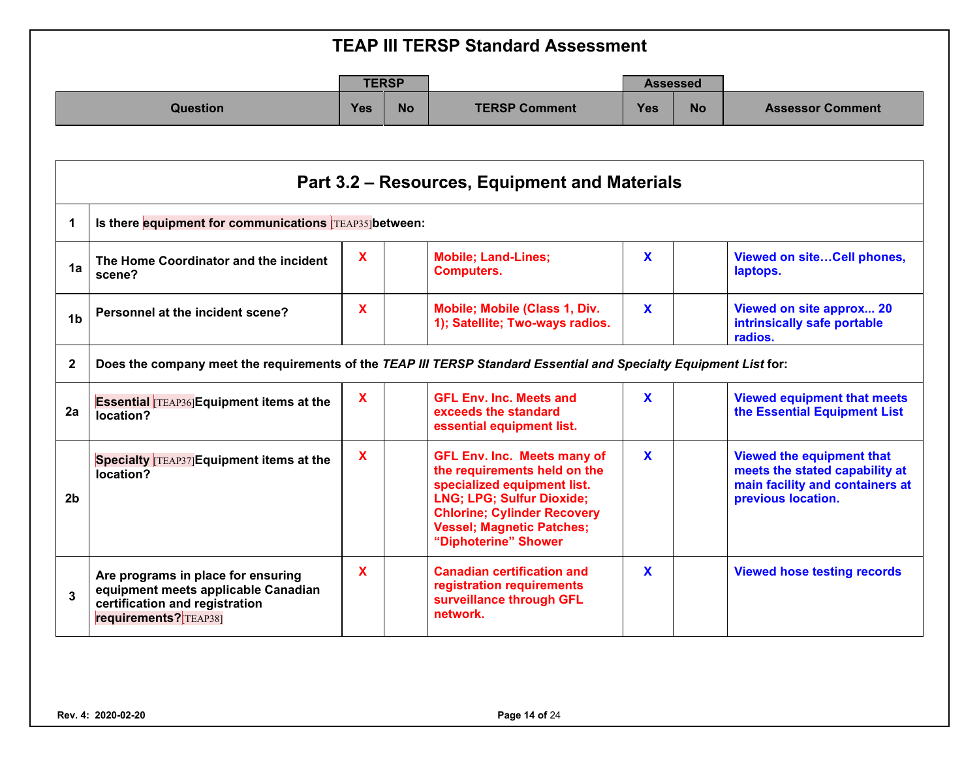|                 |            | <b>TERSP</b> |                      |            | <b>Assessed</b> |                         |
|-----------------|------------|--------------|----------------------|------------|-----------------|-------------------------|
| <b>Question</b> | <b>Yes</b> | <b>No</b>    | <b>TERSP Comment</b> | <b>Yes</b> | <b>No</b>       | <b>Assessor Comment</b> |

|                | Part 3.2 – Resources, Equipment and Materials                                                                                        |             |                                                                                                                                                                                                                                         |              |                                                                                                                             |  |  |  |  |  |  |
|----------------|--------------------------------------------------------------------------------------------------------------------------------------|-------------|-----------------------------------------------------------------------------------------------------------------------------------------------------------------------------------------------------------------------------------------|--------------|-----------------------------------------------------------------------------------------------------------------------------|--|--|--|--|--|--|
| 1              | Is there equipment for communications TEAP35 between:                                                                                |             |                                                                                                                                                                                                                                         |              |                                                                                                                             |  |  |  |  |  |  |
| 1a             | The Home Coordinator and the incident<br>scene?                                                                                      | $\mathbf x$ | <b>Mobile; Land-Lines;</b><br><b>Computers.</b>                                                                                                                                                                                         | $\mathbf x$  | Viewed on siteCell phones,<br>laptops.                                                                                      |  |  |  |  |  |  |
| 1 <sub>b</sub> | Personnel at the incident scene?                                                                                                     | $\mathbf x$ | Mobile; Mobile (Class 1, Div.<br>1); Satellite; Two-ways radios.                                                                                                                                                                        | $\mathbf{x}$ | Viewed on site approx 20<br>intrinsically safe portable<br>radios.                                                          |  |  |  |  |  |  |
| $\mathbf{2}$   | Does the company meet the requirements of the TEAP III TERSP Standard Essential and Specialty Equipment List for:                    |             |                                                                                                                                                                                                                                         |              |                                                                                                                             |  |  |  |  |  |  |
| 2a             | <b>Essential TEAP36 Equipment items at the</b><br>location?                                                                          | X           | <b>GFL Env. Inc. Meets and</b><br>exceeds the standard<br>essential equipment list.                                                                                                                                                     | $\mathbf{x}$ | <b>Viewed equipment that meets</b><br>the Essential Equipment List                                                          |  |  |  |  |  |  |
| 2 <sub>b</sub> | Specialty <b>TEAP37</b> Equipment items at the<br>location?                                                                          | X           | <b>GFL Env. Inc. Meets many of</b><br>the requirements held on the<br>specialized equipment list.<br><b>LNG; LPG; Sulfur Dioxide;</b><br><b>Chlorine; Cylinder Recovery</b><br><b>Vessel; Magnetic Patches;</b><br>"Diphoterine" Shower | $\mathbf{x}$ | <b>Viewed the equipment that</b><br>meets the stated capability at<br>main facility and containers at<br>previous location. |  |  |  |  |  |  |
| 3              | Are programs in place for ensuring<br>equipment meets applicable Canadian<br>certification and registration<br>requirements? TEAP381 | $\mathbf x$ | <b>Canadian certification and</b><br>registration requirements<br>surveillance through GFL<br>network.                                                                                                                                  | $\mathbf{x}$ | <b>Viewed hose testing records</b>                                                                                          |  |  |  |  |  |  |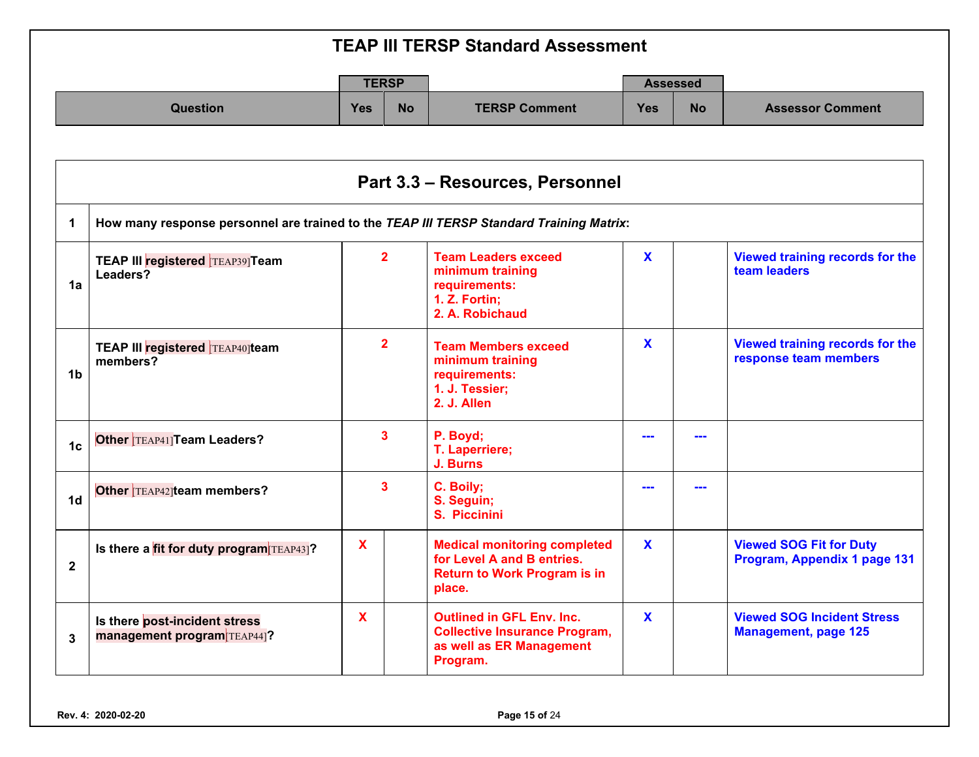|                 |            | <b>TERSP</b> | <b>Assessed</b>      |            |           |                         |
|-----------------|------------|--------------|----------------------|------------|-----------|-------------------------|
| <b>Question</b> | <b>Yes</b> | <b>No</b>    | <b>TERSP Comment</b> | <b>Yes</b> | <b>No</b> | <b>Assessor Comment</b> |

|                | Part 3.3 - Resources, Personnel                                                         |                |                                                                                                                    |              |  |                                                                  |  |  |  |  |
|----------------|-----------------------------------------------------------------------------------------|----------------|--------------------------------------------------------------------------------------------------------------------|--------------|--|------------------------------------------------------------------|--|--|--|--|
|                | How many response personnel are trained to the TEAP III TERSP Standard Training Matrix: |                |                                                                                                                    |              |  |                                                                  |  |  |  |  |
| 1a             | <b>TEAP III registered TEAP39]Team</b><br>Leaders?                                      | $\overline{2}$ | <b>Team Leaders exceed</b><br>minimum training<br>requirements:<br>1. Z. Fortin;<br>2. A. Robichaud                | $\mathbf{x}$ |  | Viewed training records for the<br>team leaders                  |  |  |  |  |
| 1 <sub>b</sub> | TEAP III registered TEAP40 team<br>members?                                             | $\overline{2}$ | <b>Team Members exceed</b><br>minimum training<br>requirements:<br>1. J. Tessier;<br>2. J. Allen                   | $\mathbf{x}$ |  | Viewed training records for the<br>response team members         |  |  |  |  |
| 1 <sub>c</sub> | Other TEAP41] Team Leaders?                                                             | 3              | P. Boyd;<br>T. Laperriere;<br>J. Burns                                                                             |              |  |                                                                  |  |  |  |  |
| 1 <sub>d</sub> | Other TEAP42 team members?                                                              | 3              | C. Boily;<br>S. Seguin;<br>S. Piccinini                                                                            |              |  |                                                                  |  |  |  |  |
| $\mathbf{2}$   | Is there a fit for duty program TEAP43]?                                                | X              | <b>Medical monitoring completed</b><br>for Level A and B entries.<br><b>Return to Work Program is in</b><br>place. | $\mathbf{x}$ |  | <b>Viewed SOG Fit for Duty</b><br>Program, Appendix 1 page 131   |  |  |  |  |
| $\mathbf{3}$   | Is there post-incident stress<br>management program TEAP44]?                            | $\mathbf x$    | <b>Outlined in GFL Env. Inc.</b><br><b>Collective Insurance Program,</b><br>as well as ER Management<br>Program.   | $\mathbf x$  |  | <b>Viewed SOG Incident Stress</b><br><b>Management, page 125</b> |  |  |  |  |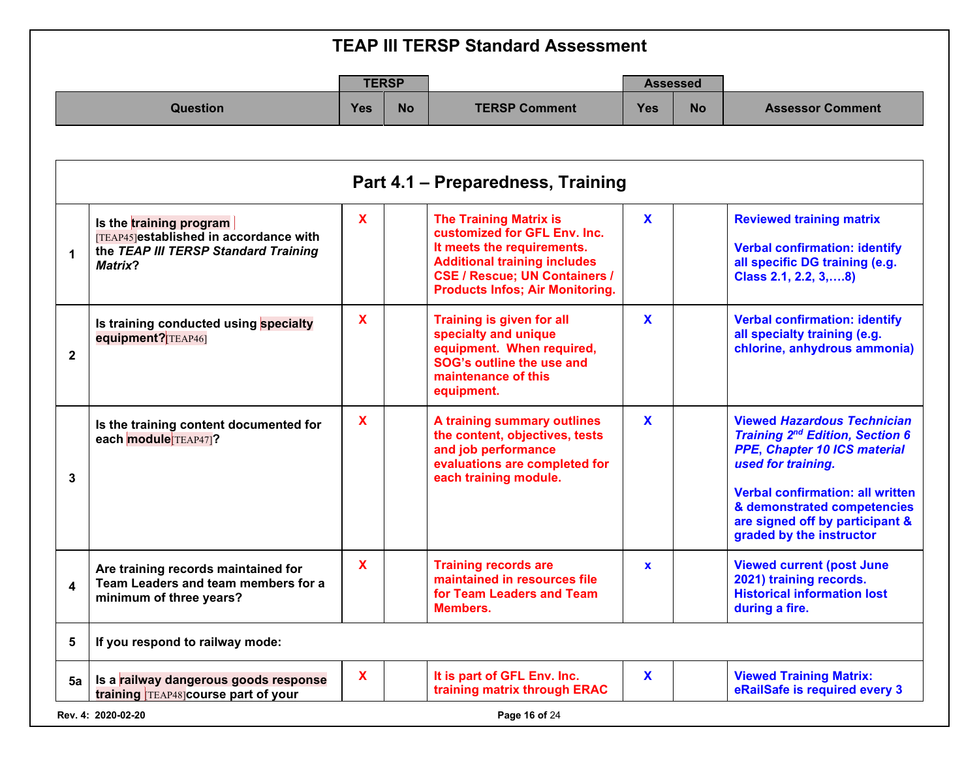| <b>TEAP III TERSP Standard Assessment</b> |            |              |                      |                 |           |                         |
|-------------------------------------------|------------|--------------|----------------------|-----------------|-----------|-------------------------|
|                                           |            | <b>TERSP</b> |                      | <b>Assessed</b> |           |                         |
| <b>Question</b>                           | <b>Yes</b> | <b>No</b>    | <b>TERSP Comment</b> | <b>Yes</b>      | <b>No</b> | <b>Assessor Comment</b> |

| 1              | Is the training program<br>[TEAP45]established in accordance with<br>the TEAP III TERSP Standard Training<br>Matrix? | $\mathbf{x}$ | <b>The Training Matrix is</b><br>customized for GFL Env. Inc.<br>It meets the requirements.<br><b>Additional training includes</b><br><b>CSE / Rescue; UN Containers /</b><br><b>Products Infos; Air Monitoring.</b> | $\mathbf{x}$ | <b>Reviewed training matrix</b><br><b>Verbal confirmation: identify</b><br>all specific DG training (e.g.<br>Class 2.1, 2.2, 3,  8)                                                                                                                                         |
|----------------|----------------------------------------------------------------------------------------------------------------------|--------------|----------------------------------------------------------------------------------------------------------------------------------------------------------------------------------------------------------------------|--------------|-----------------------------------------------------------------------------------------------------------------------------------------------------------------------------------------------------------------------------------------------------------------------------|
| $\overline{2}$ | Is training conducted using specialty<br>equipment? [TEAP46]                                                         | $\mathbf{x}$ | <b>Training is given for all</b><br>specialty and unique<br>equipment. When required,<br>SOG's outline the use and<br>maintenance of this<br>equipment.                                                              | $\mathbf{x}$ | <b>Verbal confirmation: identify</b><br>all specialty training (e.g.<br>chlorine, anhydrous ammonia)                                                                                                                                                                        |
| 3              | Is the training content documented for<br>each module TEAP47]?                                                       | $\mathbf{x}$ | A training summary outlines<br>the content, objectives, tests<br>and job performance<br>evaluations are completed for<br>each training module.                                                                       | $\mathbf{x}$ | <b>Viewed Hazardous Technician</b><br><b>Training 2nd Edition, Section 6</b><br>PPE, Chapter 10 ICS material<br>used for training.<br><b>Verbal confirmation: all written</b><br>& demonstrated competencies<br>are signed off by participant &<br>graded by the instructor |
| 4              | Are training records maintained for<br>Team Leaders and team members for a<br>minimum of three years?                | $\mathbf{x}$ | <b>Training records are</b><br>maintained in resources file<br>for Team Leaders and Team<br><b>Members.</b>                                                                                                          | $\mathbf x$  | <b>Viewed current (post June</b><br>2021) training records.<br><b>Historical information lost</b><br>during a fire.                                                                                                                                                         |
| 5              | If you respond to railway mode:                                                                                      |              |                                                                                                                                                                                                                      |              |                                                                                                                                                                                                                                                                             |
| 5a             | Is a railway dangerous goods response<br>training TEAP48] course part of your                                        | $\mathbf{x}$ | It is part of GFL Env. Inc.<br>training matrix through ERAC                                                                                                                                                          | $\mathbf{x}$ | <b>Viewed Training Matrix:</b><br>eRailSafe is required every 3                                                                                                                                                                                                             |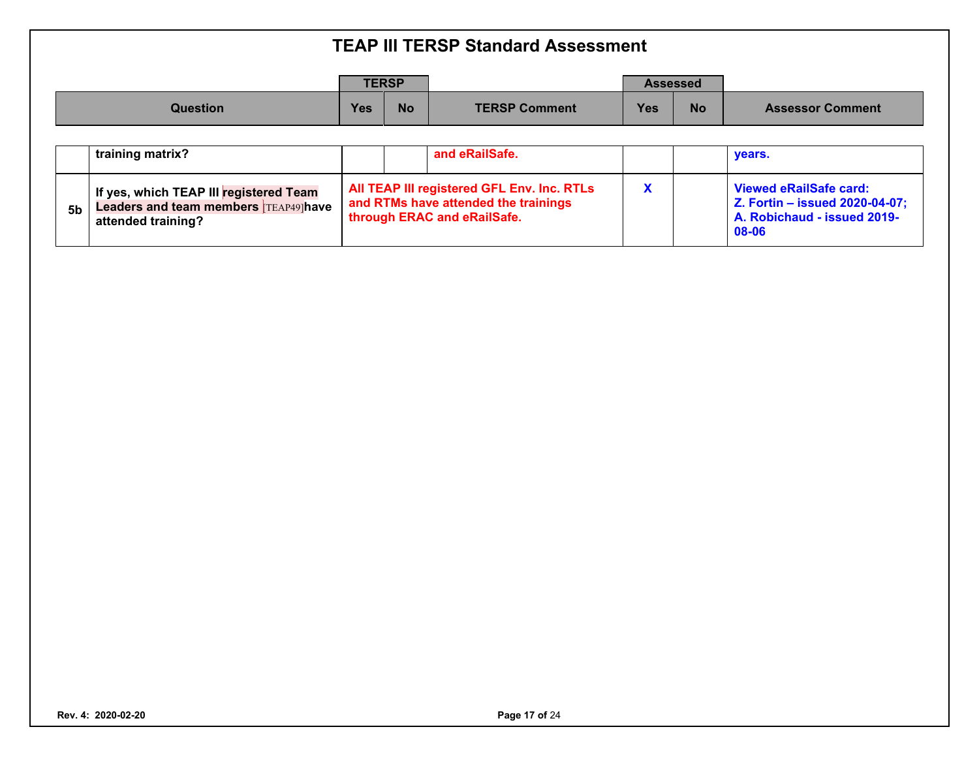|          |            | <b>TERSP</b> |                      |            | <b>Assessed</b> |                         |
|----------|------------|--------------|----------------------|------------|-----------------|-------------------------|
| Question | <b>Yes</b> | <b>No</b>    | <b>TERSP Comment</b> | <b>Yes</b> | <b>No</b>       | <b>Assessor Comment</b> |

|                | training matrix?                                                                                            |  | and eRailSafe.                                                                                                    |  | vears.                                                                                                  |
|----------------|-------------------------------------------------------------------------------------------------------------|--|-------------------------------------------------------------------------------------------------------------------|--|---------------------------------------------------------------------------------------------------------|
| 5 <sub>b</sub> | If yes, which TEAP III registered Team<br><b>Leaders and team members TEAP49 have</b><br>attended training? |  | All TEAP III registered GFL Env. Inc. RTLs<br>and RTMs have attended the trainings<br>through ERAC and eRailSafe. |  | Viewed eRailSafe card:<br><b>Z. Fortin - issued 2020-04-07;</b><br>A. Robichaud - issued 2019-<br>08-06 |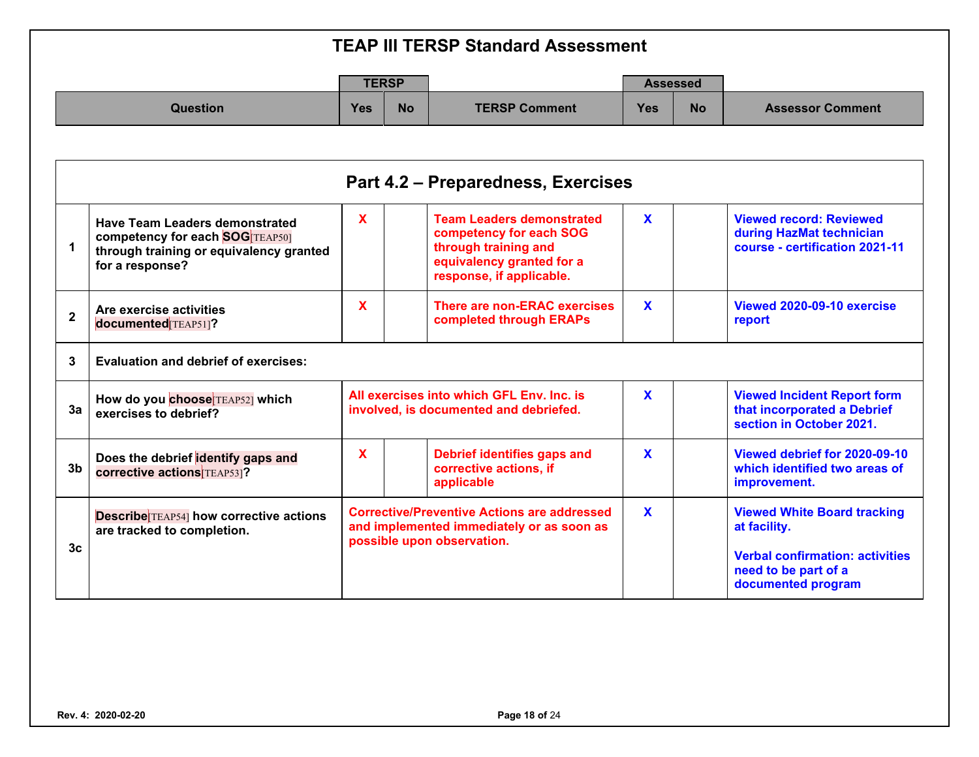| <b>TEAP III TERSP Standard Assessment</b> |              |           |                      |                 |           |                         |  |  |
|-------------------------------------------|--------------|-----------|----------------------|-----------------|-----------|-------------------------|--|--|
|                                           | <b>TERSP</b> |           |                      | <b>Assessed</b> |           |                         |  |  |
| <b>Question</b>                           | <b>Yes</b>   | <b>No</b> | <b>TERSP Comment</b> | <b>Yes</b>      | <b>No</b> | <b>Assessor Comment</b> |  |  |
|                                           |              |           |                      |                 |           |                         |  |  |
| Part 4.2 – Preparedness, Exercises        |              |           |                      |                 |           |                         |  |  |

|                | <b>Have Team Leaders demonstrated</b><br><b>competency for each SOG TEAP50]</b><br>through training or equivalency granted<br>for a response? | X |  | <b>Team Leaders demonstrated</b><br>competency for each SOG<br>through training and<br>equivalency granted for a<br>response, if applicable. | X            | <b>Viewed record: Reviewed</b><br>during HazMat technician<br>course - certification 2021-11                                               |  |  |  |  |
|----------------|-----------------------------------------------------------------------------------------------------------------------------------------------|---|--|----------------------------------------------------------------------------------------------------------------------------------------------|--------------|--------------------------------------------------------------------------------------------------------------------------------------------|--|--|--|--|
| $\overline{2}$ | Are exercise activities<br>documented [TEAP51]?                                                                                               | X |  | There are non-ERAC exercises<br>completed through ERAPs                                                                                      | X            | Viewed 2020-09-10 exercise<br>report                                                                                                       |  |  |  |  |
| 3              | Evaluation and debrief of exercises:                                                                                                          |   |  |                                                                                                                                              |              |                                                                                                                                            |  |  |  |  |
| 3a             | How do you choose TEAP52] which<br>exercises to debrief?                                                                                      |   |  | All exercises into which GFL Env. Inc. is<br>involved, is documented and debriefed.                                                          | X            | <b>Viewed Incident Report form</b><br>that incorporated a Debrief<br>section in October 2021.                                              |  |  |  |  |
| 3 <sub>b</sub> | Does the debrief identify gaps and<br><b>corrective actions TEAP531?</b>                                                                      | X |  | Debrief identifies gaps and<br>corrective actions, if<br>applicable                                                                          | X            | Viewed debrief for 2020-09-10<br>which identified two areas of<br>improvement.                                                             |  |  |  |  |
| 3 <sub>c</sub> | <b>Describe</b> TEAP54] how corrective actions<br>are tracked to completion.                                                                  |   |  | <b>Corrective/Preventive Actions are addressed</b><br>and implemented immediately or as soon as<br>possible upon observation.                | $\mathbf{x}$ | <b>Viewed White Board tracking</b><br>at facility.<br><b>Verbal confirmation: activities</b><br>need to be part of a<br>documented program |  |  |  |  |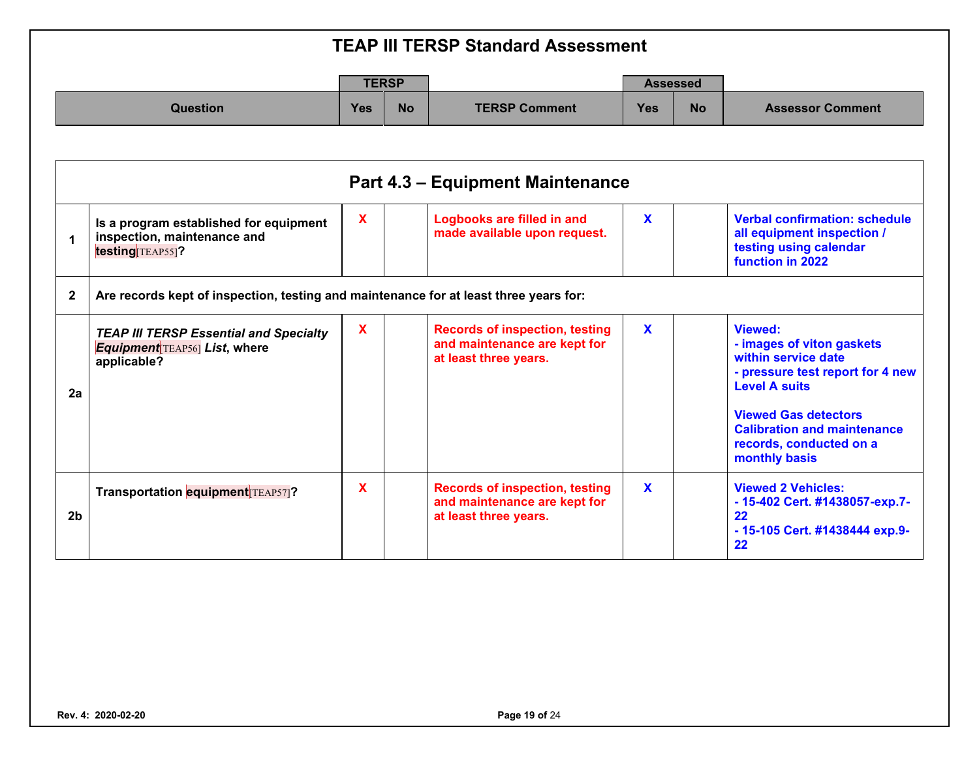|                 |            | <b>TERSP</b> |                      |            | <b>Assessed</b> |                         |
|-----------------|------------|--------------|----------------------|------------|-----------------|-------------------------|
| <b>Question</b> | <b>Yes</b> | <b>No</b>    | <b>TERSP Comment</b> | <b>Yes</b> | <b>No</b>       | <b>Assessor Comment</b> |

|                | <b>Part 4.3 - Equipment Maintenance</b>                                                             |              |                                                                                                |              |                                                                                                                                                                                                                                                 |  |  |  |  |  |
|----------------|-----------------------------------------------------------------------------------------------------|--------------|------------------------------------------------------------------------------------------------|--------------|-------------------------------------------------------------------------------------------------------------------------------------------------------------------------------------------------------------------------------------------------|--|--|--|--|--|
| 1              | Is a program established for equipment<br>inspection, maintenance and<br>testing TEAP55]?           | $\mathbf{x}$ | <b>Logbooks are filled in and</b><br>made available upon request.                              | $\mathbf{x}$ | <b>Verbal confirmation: schedule</b><br>all equipment inspection /<br>testing using calendar<br>function in 2022                                                                                                                                |  |  |  |  |  |
| $\mathbf{2}$   | Are records kept of inspection, testing and maintenance for at least three years for:               |              |                                                                                                |              |                                                                                                                                                                                                                                                 |  |  |  |  |  |
| 2a             | <b>TEAP III TERSP Essential and Specialty</b><br><b>Equipment</b> TEAP56 List, where<br>applicable? | X            | <b>Records of inspection, testing</b><br>and maintenance are kept for<br>at least three years. | $\mathbf x$  | <b>Viewed:</b><br>- images of viton gaskets<br>within service date<br>- pressure test report for 4 new<br><b>Level A suits</b><br><b>Viewed Gas detectors</b><br><b>Calibration and maintenance</b><br>records, conducted on a<br>monthly basis |  |  |  |  |  |
| 2 <sub>b</sub> | Transportation equipment TEAP57]?                                                                   | X            | <b>Records of inspection, testing</b><br>and maintenance are kept for<br>at least three years. | $\mathbf{x}$ | <b>Viewed 2 Vehicles:</b><br>- 15-402 Cert. #1438057-exp.7-<br>22<br>- 15-105 Cert. #1438444 exp.9-<br>22                                                                                                                                       |  |  |  |  |  |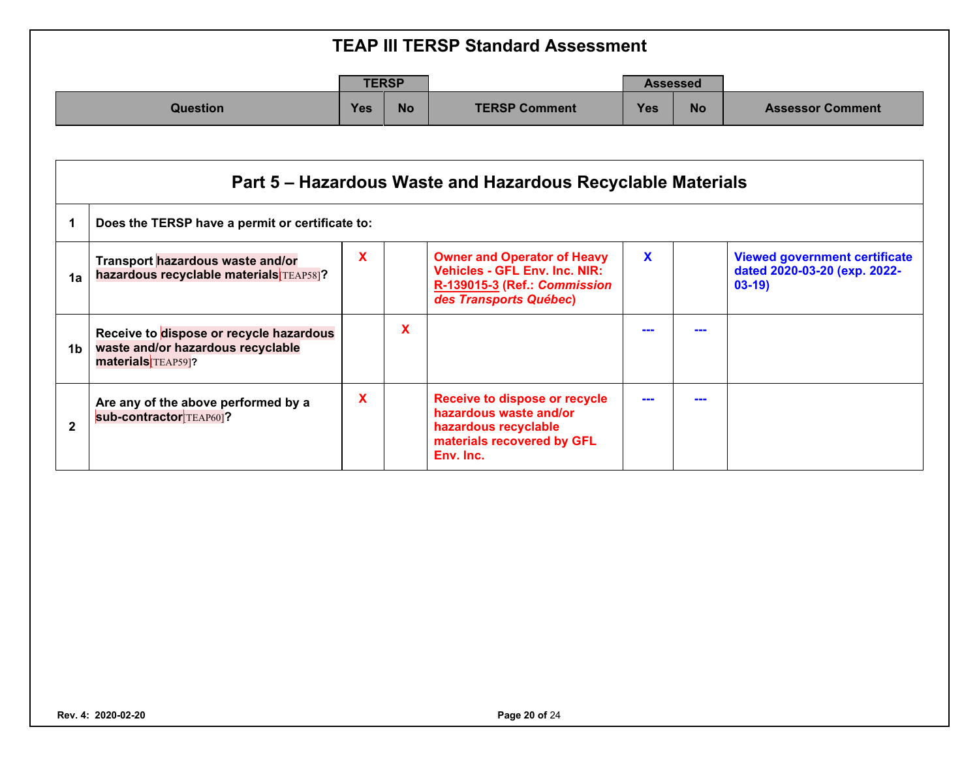| <b>TEAP III TERSP Standard Assessment</b> |     |              |                      |                 |           |                         |  |  |  |
|-------------------------------------------|-----|--------------|----------------------|-----------------|-----------|-------------------------|--|--|--|
|                                           |     | <b>TERSP</b> |                      | <b>Assessed</b> |           |                         |  |  |  |
| Question                                  | Yes | <b>No</b>    | <b>TERSP Comment</b> | <b>Yes</b>      | <b>No</b> | <b>Assessor Comment</b> |  |  |  |

|              | Part 5 – Hazardous Waste and Hazardous Recyclable Materials                                        |   |   |                                                                                                                                      |   |  |                                                                                 |  |  |  |
|--------------|----------------------------------------------------------------------------------------------------|---|---|--------------------------------------------------------------------------------------------------------------------------------------|---|--|---------------------------------------------------------------------------------|--|--|--|
|              | Does the TERSP have a permit or certificate to:                                                    |   |   |                                                                                                                                      |   |  |                                                                                 |  |  |  |
| 1a           | Transport hazardous waste and/or<br>hazardous recyclable materials TEAP58]?                        | X |   | <b>Owner and Operator of Heavy</b><br><b>Vehicles - GFL Env. Inc. NIR:</b><br>R-139015-3 (Ref.: Commission<br>des Transports Québec) | X |  | <b>Viewed government certificate</b><br>dated 2020-03-20 (exp. 2022-<br>$03-19$ |  |  |  |
| 1b           | Receive to dispose or recycle hazardous<br>waste and/or hazardous recyclable<br>materials TEAP59]? |   | X |                                                                                                                                      |   |  |                                                                                 |  |  |  |
| $\mathbf{2}$ | Are any of the above performed by a<br><b>sub-contractor</b> TEAP60]?                              | X |   | Receive to dispose or recycle<br>hazardous waste and/or<br>hazardous recyclable<br>materials recovered by GFL<br>Env. Inc.           |   |  |                                                                                 |  |  |  |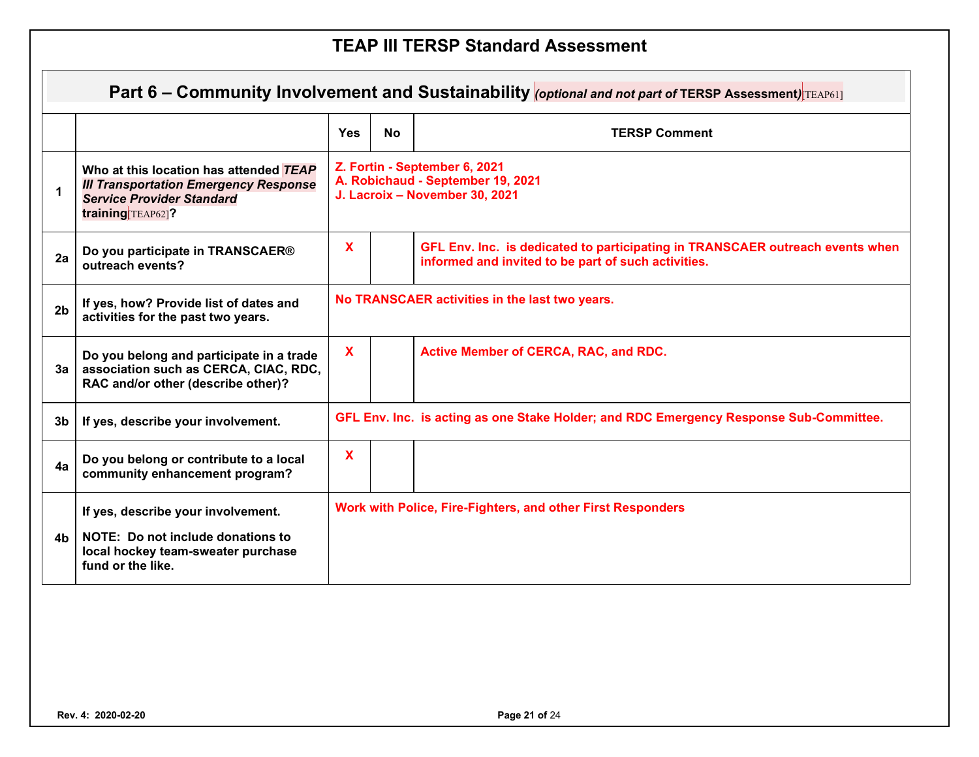|                | Part 6 – Community Involvement and Sustainability <i>(optional and not part of</i> TERSP Assessment) TEAP61]                                    |                                                |           |                                                                                                                                      |  |  |  |  |  |
|----------------|-------------------------------------------------------------------------------------------------------------------------------------------------|------------------------------------------------|-----------|--------------------------------------------------------------------------------------------------------------------------------------|--|--|--|--|--|
|                |                                                                                                                                                 | <b>Yes</b>                                     | <b>No</b> | <b>TERSP Comment</b>                                                                                                                 |  |  |  |  |  |
| 1              | Who at this location has attended TEAP<br><b>III Transportation Emergency Response</b><br><b>Service Provider Standard</b><br>training TEAP62]? |                                                |           | Z. Fortin - September 6, 2021<br>A. Robichaud - September 19, 2021<br>J. Lacroix - November 30, 2021                                 |  |  |  |  |  |
| 2a             | Do you participate in TRANSCAER®<br>outreach events?                                                                                            | $\mathbf{x}$                                   |           | GFL Env. Inc. is dedicated to participating in TRANSCAER outreach events when<br>informed and invited to be part of such activities. |  |  |  |  |  |
| 2 <sub>b</sub> | If yes, how? Provide list of dates and<br>activities for the past two years.                                                                    | No TRANSCAER activities in the last two years. |           |                                                                                                                                      |  |  |  |  |  |
| 3a l           | Do you belong and participate in a trade<br>association such as CERCA, CIAC, RDC,<br>RAC and/or other (describe other)?                         | X                                              |           | Active Member of CERCA, RAC, and RDC.                                                                                                |  |  |  |  |  |
| 3b             | If yes, describe your involvement.                                                                                                              |                                                |           | GFL Env. Inc. is acting as one Stake Holder; and RDC Emergency Response Sub-Committee.                                               |  |  |  |  |  |
| 4a             | Do you belong or contribute to a local<br>community enhancement program?                                                                        | X                                              |           |                                                                                                                                      |  |  |  |  |  |
| 4h             | If yes, describe your involvement.<br>NOTE: Do not include donations to<br>local hockey team-sweater purchase<br>fund or the like.              |                                                |           | Work with Police, Fire-Fighters, and other First Responders                                                                          |  |  |  |  |  |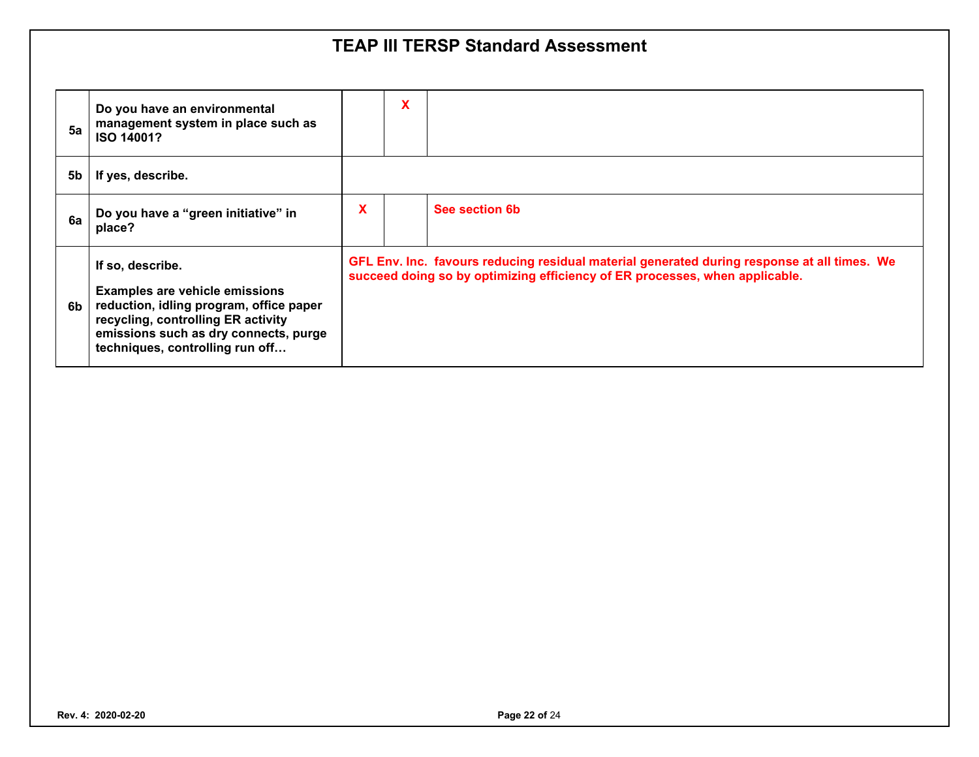| 5a | Do you have an environmental<br>management system in place such as<br>ISO 14001?                                                                                                                                       |   | X |                                                                                                                                                                            |
|----|------------------------------------------------------------------------------------------------------------------------------------------------------------------------------------------------------------------------|---|---|----------------------------------------------------------------------------------------------------------------------------------------------------------------------------|
| 5b | If yes, describe.                                                                                                                                                                                                      |   |   |                                                                                                                                                                            |
| 6a | Do you have a "green initiative" in<br>place?                                                                                                                                                                          | X |   | See section 6b                                                                                                                                                             |
| 6b | If so, describe.<br><b>Examples are vehicle emissions</b><br>reduction, idling program, office paper<br>recycling, controlling ER activity<br>emissions such as dry connects, purge<br>techniques, controlling run off |   |   | GFL Env. Inc. favours reducing residual material generated during response at all times. We<br>succeed doing so by optimizing efficiency of ER processes, when applicable. |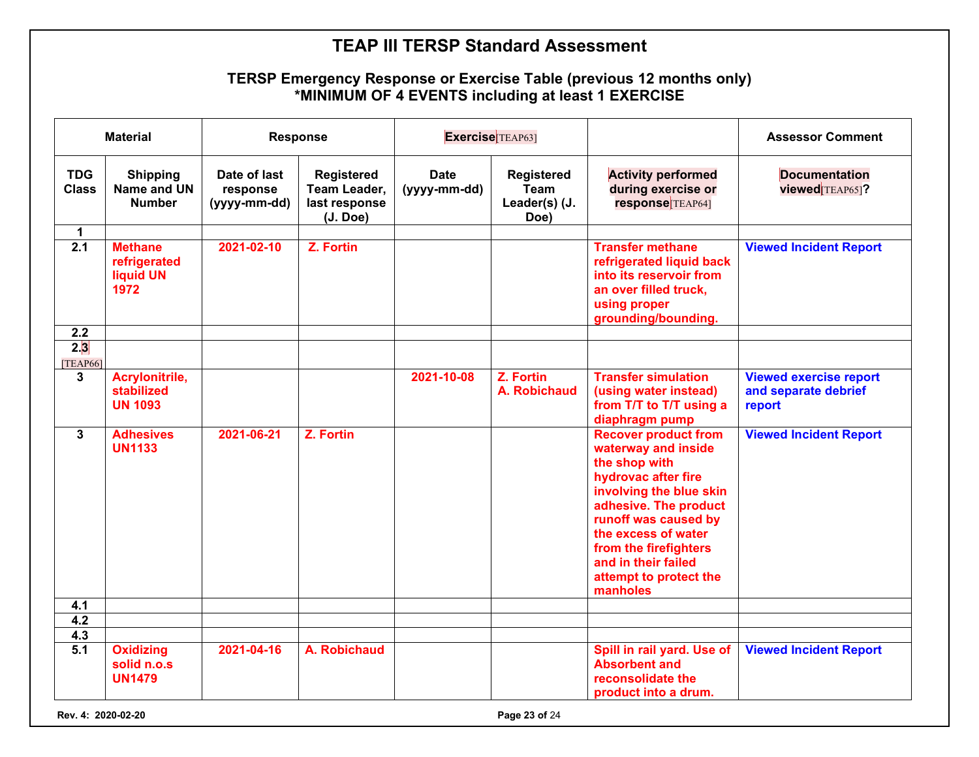#### **TERSP Emergency Response or Exercise Table (previous 12 months only) \*MINIMUM OF 4 EVENTS including at least 1 EXERCISE**

|                            | <b>Material</b>                                            |                                          | <b>Response</b>                                                | Exercise <sup>[TEAP63]</sup> |                                                    |                                                                                                                                                                                                                                                                                     | <b>Assessor Comment</b>                                         |
|----------------------------|------------------------------------------------------------|------------------------------------------|----------------------------------------------------------------|------------------------------|----------------------------------------------------|-------------------------------------------------------------------------------------------------------------------------------------------------------------------------------------------------------------------------------------------------------------------------------------|-----------------------------------------------------------------|
| <b>TDG</b><br><b>Class</b> | <b>Shipping</b><br>Name and UN<br><b>Number</b>            | Date of last<br>response<br>(yyyy-mm-dd) | <b>Registered</b><br>Team Leader,<br>last response<br>(J. Doe) | <b>Date</b><br>(yyyy-mm-dd)  | <b>Registered</b><br>Team<br>Leader(s) (J.<br>Doe) | <b>Activity performed</b><br>during exercise or<br>response <sup>[TEAP64]</sup>                                                                                                                                                                                                     | <b>Documentation</b><br>viewed TEAP65]?                         |
| $\mathbf{1}$               |                                                            |                                          |                                                                |                              |                                                    |                                                                                                                                                                                                                                                                                     |                                                                 |
| $\overline{2.1}$           | <b>Methane</b><br>refrigerated<br><b>liquid UN</b><br>1972 | 2021-02-10                               | Z. Fortin                                                      |                              |                                                    | <b>Transfer methane</b><br>refrigerated liquid back<br>into its reservoir from<br>an over filled truck,<br>using proper<br>grounding/bounding.                                                                                                                                      | <b>Viewed Incident Report</b>                                   |
| 2.2                        |                                                            |                                          |                                                                |                              |                                                    |                                                                                                                                                                                                                                                                                     |                                                                 |
| 2.3<br>[TEAP66]            |                                                            |                                          |                                                                |                              |                                                    |                                                                                                                                                                                                                                                                                     |                                                                 |
| 3                          | Acrylonitrile,<br>stabilized<br><b>UN 1093</b>             |                                          |                                                                | 2021-10-08                   | Z. Fortin<br>A. Robichaud                          | <b>Transfer simulation</b><br>(using water instead)<br>from T/T to T/T using a<br>diaphragm pump                                                                                                                                                                                    | <b>Viewed exercise report</b><br>and separate debrief<br>report |
| $\overline{3}$             | <b>Adhesives</b><br><b>UN1133</b>                          | 2021-06-21                               | Z. Fortin                                                      |                              |                                                    | <b>Recover product from</b><br>waterway and inside<br>the shop with<br>hydrovac after fire<br>involving the blue skin<br>adhesive. The product<br>runoff was caused by<br>the excess of water<br>from the firefighters<br>and in their failed<br>attempt to protect the<br>manholes | <b>Viewed Incident Report</b>                                   |
| 4.1                        |                                                            |                                          |                                                                |                              |                                                    |                                                                                                                                                                                                                                                                                     |                                                                 |
| 4.2                        |                                                            |                                          |                                                                |                              |                                                    |                                                                                                                                                                                                                                                                                     |                                                                 |
| 4.3                        |                                                            |                                          |                                                                |                              |                                                    |                                                                                                                                                                                                                                                                                     |                                                                 |
| $\overline{5.1}$           | <b>Oxidizing</b><br>solid n.o.s<br><b>UN1479</b>           | 2021-04-16                               | A. Robichaud                                                   |                              |                                                    | Spill in rail yard. Use of<br><b>Absorbent and</b><br>reconsolidate the<br>product into a drum.                                                                                                                                                                                     | <b>Viewed Incident Report</b>                                   |